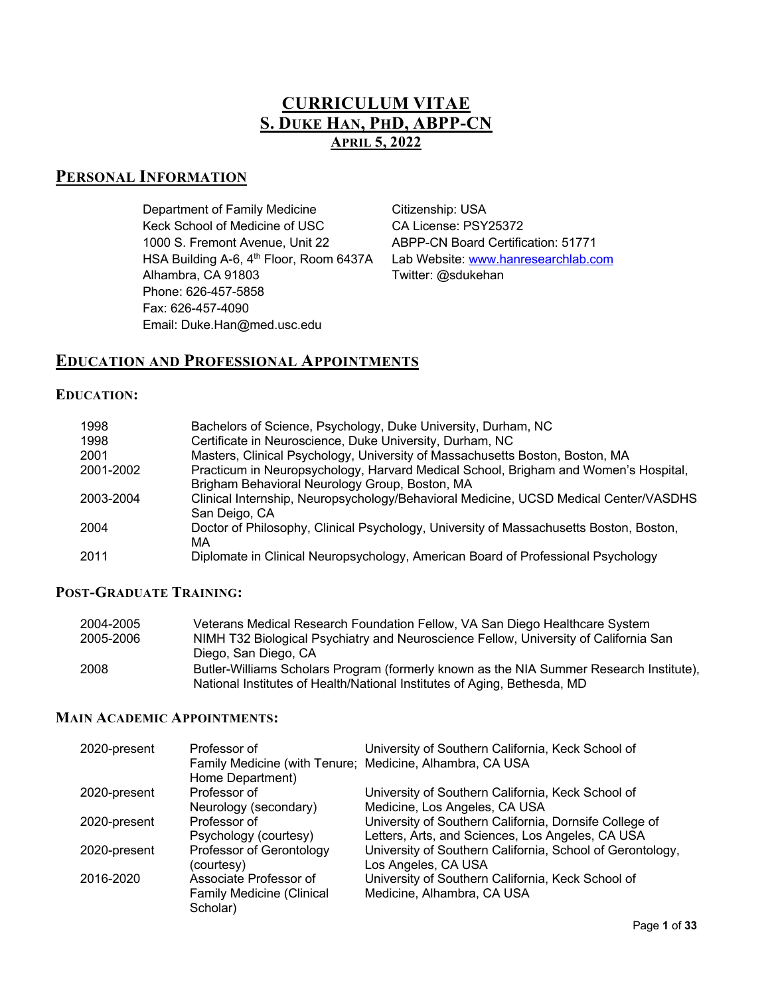# **CURRICULUM VITAE S. DUKE HAN, PHD, ABPP-CN APRIL 5, 2022**

# **PERSONAL INFORMATION**

Department of Family Medicine Citizenship: USA Keck School of Medicine of USC CA License: PSY25372 1000 S. Fremont Avenue, Unit 22 ABPP-CN Board Certification: 51771 HSA Building A-6, 4<sup>th</sup> Floor, Room 6437A Lab Website: www.hanresearchlab.com Alhambra, CA 91803 Twitter: @sdukehan Phone: 626-457-5858 Fax: 626-457-4090 Email: Duke.Han@med.usc.edu

# **EDUCATION AND PROFESSIONAL APPOINTMENTS**

### **EDUCATION:**

| 1998      | Bachelors of Science, Psychology, Duke University, Durham, NC                                                                         |
|-----------|---------------------------------------------------------------------------------------------------------------------------------------|
| 1998      | Certificate in Neuroscience, Duke University, Durham, NC                                                                              |
| 2001      | Masters, Clinical Psychology, University of Massachusetts Boston, Boston, MA                                                          |
| 2001-2002 | Practicum in Neuropsychology, Harvard Medical School, Brigham and Women's Hospital,<br>Brigham Behavioral Neurology Group, Boston, MA |
| 2003-2004 | Clinical Internship, Neuropsychology/Behavioral Medicine, UCSD Medical Center/VASDHS<br>San Deigo, CA                                 |
| 2004      | Doctor of Philosophy, Clinical Psychology, University of Massachusetts Boston, Boston,<br>МA                                          |
| 2011      | Diplomate in Clinical Neuropsychology, American Board of Professional Psychology                                                      |

### **POST-GRADUATE TRAINING:**

| 2004-2005 | Veterans Medical Research Foundation Fellow, VA San Diego Healthcare System                                                                                         |
|-----------|---------------------------------------------------------------------------------------------------------------------------------------------------------------------|
| 2005-2006 | NIMH T32 Biological Psychiatry and Neuroscience Fellow, University of California San                                                                                |
|           | Diego, San Diego, CA                                                                                                                                                |
| 2008      | Butler-Williams Scholars Program (formerly known as the NIA Summer Research Institute),<br>National Institutes of Health/National Institutes of Aging, Bethesda, MD |

#### **MAIN ACADEMIC APPOINTMENTS:**

| 2020-present | Professor of                                                                 | University of Southern California, Keck School of         |
|--------------|------------------------------------------------------------------------------|-----------------------------------------------------------|
|              | Family Medicine (with Tenure; Medicine, Alhambra, CA USA<br>Home Department) |                                                           |
| 2020-present | Professor of                                                                 | University of Southern California, Keck School of         |
|              | Neurology (secondary)                                                        | Medicine, Los Angeles, CA USA                             |
| 2020-present | Professor of                                                                 | University of Southern California, Dornsife College of    |
|              | Psychology (courtesy)                                                        | Letters, Arts, and Sciences, Los Angeles, CA USA          |
| 2020-present | Professor of Gerontology                                                     | University of Southern California, School of Gerontology, |
|              | (courtesy)                                                                   | Los Angeles, CA USA                                       |
| 2016-2020    | Associate Professor of                                                       | University of Southern California, Keck School of         |
|              | <b>Family Medicine (Clinical</b>                                             | Medicine, Alhambra, CA USA                                |
|              | Scholar)                                                                     |                                                           |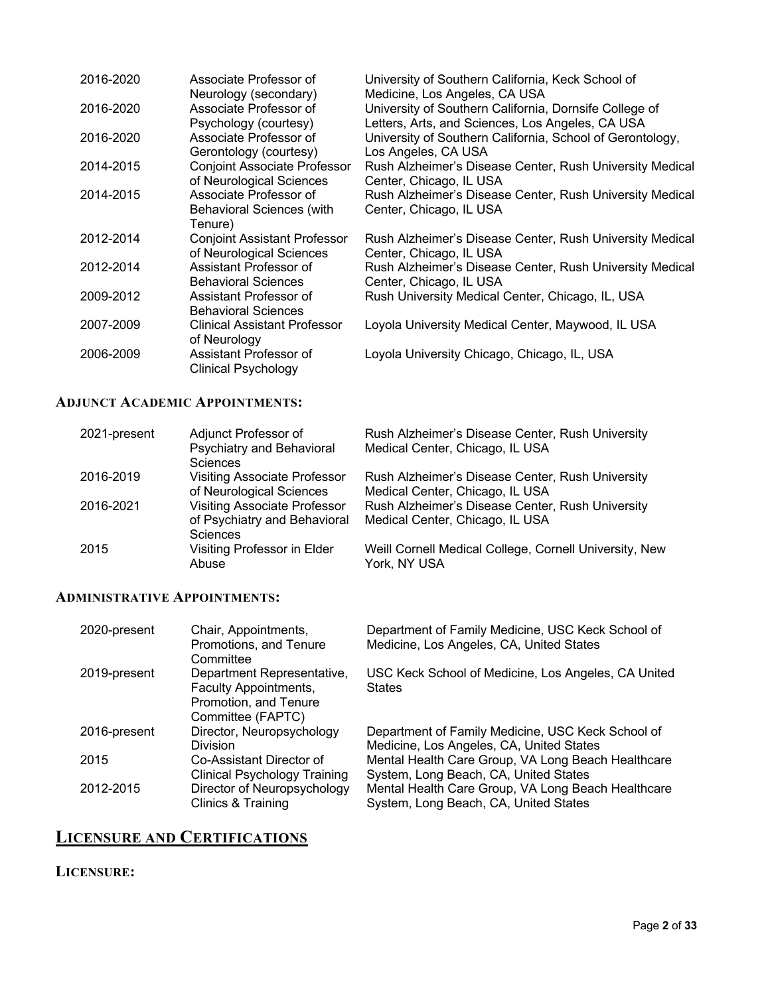| 2016-2020 | Associate Professor of<br>Neurology (secondary)                       | University of Southern California, Keck School of<br>Medicine, Los Angeles, CA USA                         |
|-----------|-----------------------------------------------------------------------|------------------------------------------------------------------------------------------------------------|
| 2016-2020 | Associate Professor of<br>Psychology (courtesy)                       | University of Southern California, Dornsife College of<br>Letters, Arts, and Sciences, Los Angeles, CA USA |
| 2016-2020 | Associate Professor of<br>Gerontology (courtesy)                      | University of Southern California, School of Gerontology,<br>Los Angeles, CA USA                           |
| 2014-2015 | <b>Conjoint Associate Professor</b><br>of Neurological Sciences       | Rush Alzheimer's Disease Center, Rush University Medical<br>Center, Chicago, IL USA                        |
| 2014-2015 | Associate Professor of<br><b>Behavioral Sciences (with</b><br>Tenure) | Rush Alzheimer's Disease Center, Rush University Medical<br>Center, Chicago, IL USA                        |
| 2012-2014 | <b>Conjoint Assistant Professor</b><br>of Neurological Sciences       | Rush Alzheimer's Disease Center, Rush University Medical<br>Center, Chicago, IL USA                        |
| 2012-2014 | Assistant Professor of<br><b>Behavioral Sciences</b>                  | Rush Alzheimer's Disease Center, Rush University Medical<br>Center, Chicago, IL USA                        |
| 2009-2012 | Assistant Professor of<br><b>Behavioral Sciences</b>                  | Rush University Medical Center, Chicago, IL, USA                                                           |
| 2007-2009 | Clinical Assistant Professor<br>of Neurology                          | Loyola University Medical Center, Maywood, IL USA                                                          |
| 2006-2009 | Assistant Professor of<br>Clinical Psychology                         | Loyola University Chicago, Chicago, IL, USA                                                                |

### **ADJUNCT ACADEMIC APPOINTMENTS:**

| 2021-present | Adjunct Professor of                | Rush Alzheimer's Disease Center, Rush University       |
|--------------|-------------------------------------|--------------------------------------------------------|
|              | Psychiatry and Behavioral           | Medical Center, Chicago, IL USA                        |
|              | <b>Sciences</b>                     |                                                        |
| 2016-2019    | <b>Visiting Associate Professor</b> | Rush Alzheimer's Disease Center, Rush University       |
|              | of Neurological Sciences            | Medical Center, Chicago, IL USA                        |
| 2016-2021    | <b>Visiting Associate Professor</b> | Rush Alzheimer's Disease Center, Rush University       |
|              | of Psychiatry and Behavioral        | Medical Center, Chicago, IL USA                        |
|              | <b>Sciences</b>                     |                                                        |
| 2015         | Visiting Professor in Elder         | Weill Cornell Medical College, Cornell University, New |
|              | Abuse                               | York, NY USA                                           |
|              |                                     |                                                        |

### **ADMINISTRATIVE APPOINTMENTS:**

| 2020-present | Chair, Appointments,<br>Promotions, and Tenure<br>Committee                                       | Department of Family Medicine, USC Keck School of<br>Medicine, Los Angeles, CA, United States                                        |
|--------------|---------------------------------------------------------------------------------------------------|--------------------------------------------------------------------------------------------------------------------------------------|
| 2019-present | Department Representative,<br>Faculty Appointments,<br>Promotion, and Tenure<br>Committee (FAPTC) | USC Keck School of Medicine, Los Angeles, CA United<br><b>States</b>                                                                 |
| 2016-present | Director, Neuropsychology<br>Division                                                             | Department of Family Medicine, USC Keck School of<br>Medicine, Los Angeles, CA, United States                                        |
| 2015         | Co-Assistant Director of                                                                          | Mental Health Care Group, VA Long Beach Healthcare                                                                                   |
| 2012-2015    | <b>Clinical Psychology Training</b><br>Director of Neuropsychology<br>Clinics & Training          | System, Long Beach, CA, United States<br>Mental Health Care Group, VA Long Beach Healthcare<br>System, Long Beach, CA, United States |

# **LICENSURE AND CERTIFICATIONS**

## **LICENSURE:**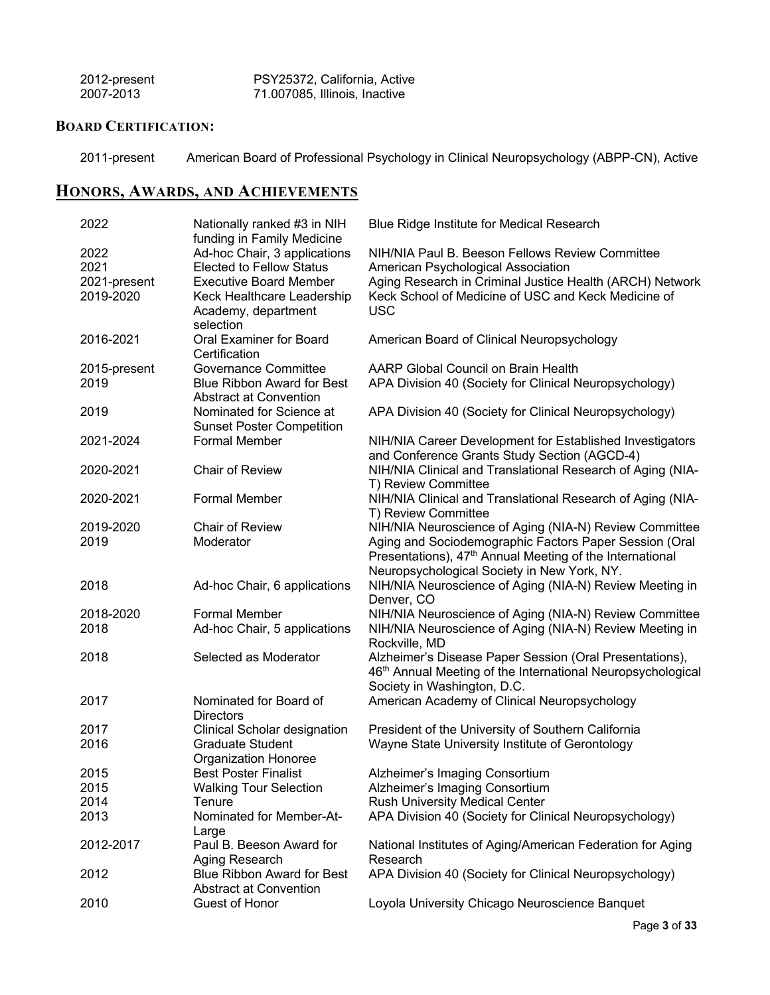| 2012-present | PSY25372, California, Active  |
|--------------|-------------------------------|
| 2007-2013    | 71.007085, Illinois, Inactive |

### **BOARD CERTIFICATION:**

2011-present American Board of Professional Psychology in Clinical Neuropsychology (ABPP-CN), Active

# **HONORS, AWARDS, AND ACHIEVEMENTS**

| 2022         | Nationally ranked #3 in NIH       | Blue Ridge Institute for Medical Research                               |
|--------------|-----------------------------------|-------------------------------------------------------------------------|
|              | funding in Family Medicine        |                                                                         |
| 2022         | Ad-hoc Chair, 3 applications      | NIH/NIA Paul B. Beeson Fellows Review Committee                         |
| 2021         | <b>Elected to Fellow Status</b>   | American Psychological Association                                      |
| 2021-present | <b>Executive Board Member</b>     | Aging Research in Criminal Justice Health (ARCH) Network                |
| 2019-2020    | Keck Healthcare Leadership        | Keck School of Medicine of USC and Keck Medicine of                     |
|              | Academy, department               | <b>USC</b>                                                              |
|              | selection                         |                                                                         |
| 2016-2021    | Oral Examiner for Board           | American Board of Clinical Neuropsychology                              |
|              | Certification                     |                                                                         |
| 2015-present | <b>Governance Committee</b>       | AARP Global Council on Brain Health                                     |
| 2019         | <b>Blue Ribbon Award for Best</b> | APA Division 40 (Society for Clinical Neuropsychology)                  |
|              | <b>Abstract at Convention</b>     |                                                                         |
| 2019         | Nominated for Science at          | APA Division 40 (Society for Clinical Neuropsychology)                  |
|              | <b>Sunset Poster Competition</b>  |                                                                         |
| 2021-2024    | <b>Formal Member</b>              | NIH/NIA Career Development for Established Investigators                |
|              |                                   | and Conference Grants Study Section (AGCD-4)                            |
| 2020-2021    | <b>Chair of Review</b>            | NIH/NIA Clinical and Translational Research of Aging (NIA-              |
|              |                                   | T) Review Committee                                                     |
|              |                                   |                                                                         |
| 2020-2021    | <b>Formal Member</b>              | NIH/NIA Clinical and Translational Research of Aging (NIA-              |
|              |                                   | T) Review Committee                                                     |
| 2019-2020    | <b>Chair of Review</b>            | NIH/NIA Neuroscience of Aging (NIA-N) Review Committee                  |
| 2019         | Moderator                         | Aging and Sociodemographic Factors Paper Session (Oral                  |
|              |                                   | Presentations), 47 <sup>th</sup> Annual Meeting of the International    |
|              |                                   | Neuropsychological Society in New York, NY.                             |
| 2018         | Ad-hoc Chair, 6 applications      | NIH/NIA Neuroscience of Aging (NIA-N) Review Meeting in                 |
|              |                                   | Denver, CO                                                              |
| 2018-2020    | <b>Formal Member</b>              | NIH/NIA Neuroscience of Aging (NIA-N) Review Committee                  |
| 2018         | Ad-hoc Chair, 5 applications      | NIH/NIA Neuroscience of Aging (NIA-N) Review Meeting in                 |
|              |                                   | Rockville, MD                                                           |
| 2018         | Selected as Moderator             | Alzheimer's Disease Paper Session (Oral Presentations),                 |
|              |                                   | 46 <sup>th</sup> Annual Meeting of the International Neuropsychological |
|              |                                   | Society in Washington, D.C.                                             |
| 2017         | Nominated for Board of            | American Academy of Clinical Neuropsychology                            |
|              | <b>Directors</b>                  |                                                                         |
| 2017         | Clinical Scholar designation      | President of the University of Southern California                      |
| 2016         | <b>Graduate Student</b>           | Wayne State University Institute of Gerontology                         |
|              | Organization Honoree              |                                                                         |
| 2015         | <b>Best Poster Finalist</b>       | Alzheimer's Imaging Consortium                                          |
| 2015         | <b>Walking Tour Selection</b>     | Alzheimer's Imaging Consortium                                          |
| 2014         | Tenure                            | <b>Rush University Medical Center</b>                                   |
| 2013         | Nominated for Member-At-          | APA Division 40 (Society for Clinical Neuropsychology)                  |
|              |                                   |                                                                         |
|              | Large                             |                                                                         |
| 2012-2017    | Paul B. Beeson Award for          | National Institutes of Aging/American Federation for Aging              |
|              | Aging Research                    | Research                                                                |
| 2012         | <b>Blue Ribbon Award for Best</b> | APA Division 40 (Society for Clinical Neuropsychology)                  |
|              | <b>Abstract at Convention</b>     |                                                                         |
| 2010         | Guest of Honor                    | Loyola University Chicago Neuroscience Banquet                          |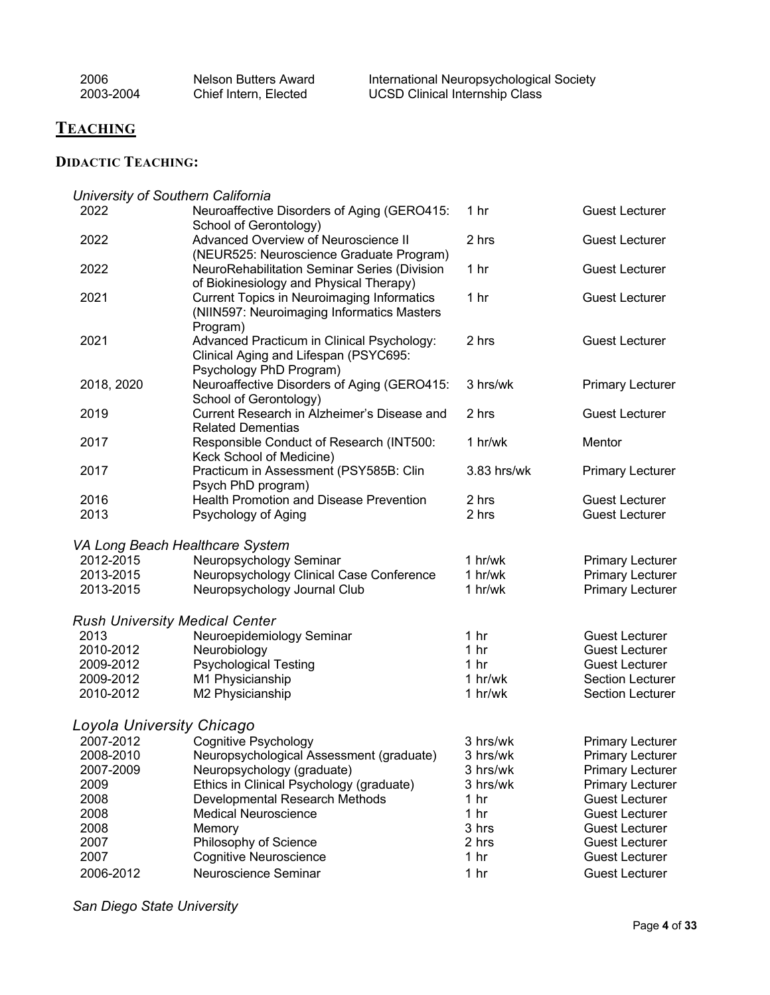| 2006      | Nelson Butters Award  | International Neuropsychological Society |
|-----------|-----------------------|------------------------------------------|
| 2003-2004 | Chief Intern, Elected | <b>UCSD Clinical Internship Class</b>    |

# **TEACHING**

# **DIDACTIC TEACHING:**

|                           | University of Southern California                 |                 |                         |
|---------------------------|---------------------------------------------------|-----------------|-------------------------|
| 2022                      | Neuroaffective Disorders of Aging (GERO415:       | 1 <sub>hr</sub> | <b>Guest Lecturer</b>   |
|                           | School of Gerontology)                            |                 |                         |
| 2022                      | Advanced Overview of Neuroscience II              | 2 hrs           | <b>Guest Lecturer</b>   |
|                           | (NEUR525: Neuroscience Graduate Program)          |                 |                         |
| 2022                      | NeuroRehabilitation Seminar Series (Division      | 1 <sub>hr</sub> | <b>Guest Lecturer</b>   |
|                           | of Biokinesiology and Physical Therapy)           |                 |                         |
| 2021                      | <b>Current Topics in Neuroimaging Informatics</b> | 1 <sub>hr</sub> | <b>Guest Lecturer</b>   |
|                           | (NIIN597: Neuroimaging Informatics Masters        |                 |                         |
|                           | Program)                                          |                 |                         |
| 2021                      | Advanced Practicum in Clinical Psychology:        | 2 hrs           | <b>Guest Lecturer</b>   |
|                           | Clinical Aging and Lifespan (PSYC695:             |                 |                         |
|                           | Psychology PhD Program)                           |                 |                         |
| 2018, 2020                | Neuroaffective Disorders of Aging (GERO415:       | 3 hrs/wk        | <b>Primary Lecturer</b> |
|                           | School of Gerontology)                            |                 |                         |
| 2019                      | Current Research in Alzheimer's Disease and       | 2 hrs           | <b>Guest Lecturer</b>   |
|                           | <b>Related Dementias</b>                          |                 |                         |
| 2017                      | Responsible Conduct of Research (INT500:          | 1 h r/wk        | Mentor                  |
|                           | Keck School of Medicine)                          |                 |                         |
| 2017                      | Practicum in Assessment (PSY585B: Clin            | 3.83 hrs/wk     | <b>Primary Lecturer</b> |
|                           | Psych PhD program)                                |                 |                         |
| 2016                      | <b>Health Promotion and Disease Prevention</b>    | 2 hrs           | <b>Guest Lecturer</b>   |
| 2013                      | Psychology of Aging                               | 2 hrs           | <b>Guest Lecturer</b>   |
|                           | VA Long Beach Healthcare System                   |                 |                         |
| 2012-2015                 | Neuropsychology Seminar                           | 1 hr/wk         | <b>Primary Lecturer</b> |
| 2013-2015                 | Neuropsychology Clinical Case Conference          | 1 hr/wk         | <b>Primary Lecturer</b> |
| 2013-2015                 | Neuropsychology Journal Club                      | 1 hr/wk         | <b>Primary Lecturer</b> |
|                           |                                                   |                 |                         |
|                           | <b>Rush University Medical Center</b>             |                 |                         |
| 2013                      | Neuroepidemiology Seminar                         | 1 <sub>hr</sub> | <b>Guest Lecturer</b>   |
| 2010-2012                 | Neurobiology                                      | 1 <sub>hr</sub> | <b>Guest Lecturer</b>   |
| 2009-2012                 | <b>Psychological Testing</b>                      | 1 <sub>hr</sub> | <b>Guest Lecturer</b>   |
| 2009-2012                 | M1 Physicianship                                  | 1 hr/wk         | <b>Section Lecturer</b> |
| 2010-2012                 | M2 Physicianship                                  | 1 hr/wk         | <b>Section Lecturer</b> |
|                           |                                                   |                 |                         |
| Loyola University Chicago |                                                   |                 |                         |
| 2007-2012                 | <b>Cognitive Psychology</b>                       | 3 hrs/wk        | <b>Primary Lecturer</b> |
| 2008-2010                 | Neuropsychological Assessment (graduate)          | 3 hrs/wk        | <b>Primary Lecturer</b> |
| 2007-2009                 | Neuropsychology (graduate)                        | 3 hrs/wk        | <b>Primary Lecturer</b> |
| 2009                      | Ethics in Clinical Psychology (graduate)          | 3 hrs/wk        | <b>Primary Lecturer</b> |
| 2008                      | Developmental Research Methods                    | 1 <sub>hr</sub> | <b>Guest Lecturer</b>   |
| 2008                      | <b>Medical Neuroscience</b>                       | 1 <sub>hr</sub> | <b>Guest Lecturer</b>   |
| 2008                      | Memory                                            | 3 hrs           | <b>Guest Lecturer</b>   |
| 2007                      | Philosophy of Science                             | 2 hrs           | <b>Guest Lecturer</b>   |
| 2007                      | Cognitive Neuroscience                            | 1 <sub>hr</sub> | <b>Guest Lecturer</b>   |
| 2006-2012                 | Neuroscience Seminar                              | 1 <sub>hr</sub> | <b>Guest Lecturer</b>   |

*San Diego State University*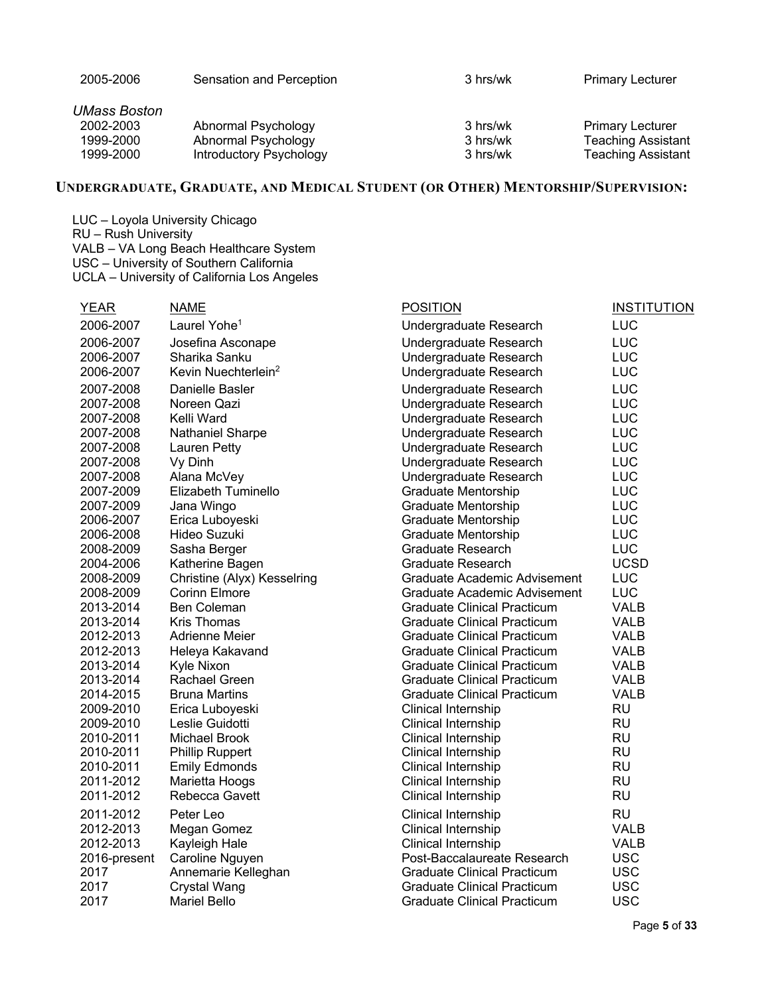| 2005-2006    | Sensation and Perception | 3 hrs/wk | <b>Primary Lecturer</b>   |
|--------------|--------------------------|----------|---------------------------|
| UMass Boston |                          |          |                           |
| 2002-2003    | Abnormal Psychology      | 3 hrs/wk | <b>Primary Lecturer</b>   |
| 1999-2000    | Abnormal Psychology      | 3 hrs/wk | <b>Teaching Assistant</b> |
| 1999-2000    | Introductory Psychology  | 3 hrs/wk | <b>Teaching Assistant</b> |
|              |                          |          |                           |

### **UNDERGRADUATE, GRADUATE, AND MEDICAL STUDENT (OR OTHER) MENTORSHIP/SUPERVISION:**

LUC – Loyola University Chicago RU – Rush University VALB – VA Long Beach Healthcare System USC – University of Southern California UCLA – University of California Los Angeles

| <b>YEAR</b>  | <b>NAME</b>                     | <b>POSITION</b>                    | <b>INSTITUTION</b> |
|--------------|---------------------------------|------------------------------------|--------------------|
| 2006-2007    | Laurel Yohe <sup>1</sup>        | Undergraduate Research             | LUC                |
| 2006-2007    | Josefina Asconape               | Undergraduate Research             | LUC                |
| 2006-2007    | Sharika Sanku                   | Undergraduate Research             | LUC                |
| 2006-2007    | Kevin Nuechterlein <sup>2</sup> | Undergraduate Research             | LUC                |
| 2007-2008    | Danielle Basler                 | Undergraduate Research             | LUC                |
| 2007-2008    | Noreen Qazi                     | Undergraduate Research             | LUC                |
| 2007-2008    | Kelli Ward                      | Undergraduate Research             | LUC                |
| 2007-2008    | Nathaniel Sharpe                | Undergraduate Research             | LUC                |
| 2007-2008    | Lauren Petty                    | Undergraduate Research             | LUC                |
| 2007-2008    | Vy Dinh                         | Undergraduate Research             | LUC                |
| 2007-2008    | Alana McVey                     | Undergraduate Research             | LUC                |
| 2007-2009    | Elizabeth Tuminello             | <b>Graduate Mentorship</b>         | LUC                |
| 2007-2009    | Jana Wingo                      | Graduate Mentorship                | LUC                |
| 2006-2007    | Erica Luboyeski                 | Graduate Mentorship                | LUC                |
| 2006-2008    | Hideo Suzuki                    | Graduate Mentorship                | LUC                |
| 2008-2009    | Sasha Berger                    | <b>Graduate Research</b>           | LUC                |
| 2004-2006    | Katherine Bagen                 | Graduate Research                  | <b>UCSD</b>        |
| 2008-2009    | Christine (Alyx) Kesselring     | Graduate Academic Advisement       | LUC                |
| 2008-2009    | <b>Corinn Elmore</b>            | Graduate Academic Advisement       | LUC                |
| 2013-2014    | Ben Coleman                     | Graduate Clinical Practicum        | <b>VALB</b>        |
| 2013-2014    | <b>Kris Thomas</b>              | <b>Graduate Clinical Practicum</b> | <b>VALB</b>        |
| 2012-2013    | Adrienne Meier                  | <b>Graduate Clinical Practicum</b> | <b>VALB</b>        |
| 2012-2013    | Heleya Kakavand                 | <b>Graduate Clinical Practicum</b> | <b>VALB</b>        |
| 2013-2014    | Kyle Nixon                      | <b>Graduate Clinical Practicum</b> | <b>VALB</b>        |
| 2013-2014    | <b>Rachael Green</b>            | <b>Graduate Clinical Practicum</b> | <b>VALB</b>        |
| 2014-2015    | <b>Bruna Martins</b>            | <b>Graduate Clinical Practicum</b> | <b>VALB</b>        |
| 2009-2010    | Erica Luboyeski                 | Clinical Internship                | <b>RU</b>          |
| 2009-2010    | Leslie Guidotti                 | Clinical Internship                | <b>RU</b>          |
| 2010-2011    | <b>Michael Brook</b>            | Clinical Internship                | <b>RU</b>          |
| 2010-2011    | <b>Phillip Ruppert</b>          | Clinical Internship                | <b>RU</b>          |
| 2010-2011    | <b>Emily Edmonds</b>            | Clinical Internship                | <b>RU</b>          |
| 2011-2012    | Marietta Hoogs                  | Clinical Internship                | <b>RU</b>          |
| 2011-2012    | Rebecca Gavett                  | Clinical Internship                | <b>RU</b>          |
| 2011-2012    | Peter Leo                       | Clinical Internship                | <b>RU</b>          |
| 2012-2013    | Megan Gomez                     | Clinical Internship                | <b>VALB</b>        |
| 2012-2013    | Kayleigh Hale                   | Clinical Internship                | <b>VALB</b>        |
| 2016-present | Caroline Nguyen                 | Post-Baccalaureate Research        | <b>USC</b>         |
| 2017         | Annemarie Kelleghan             | <b>Graduate Clinical Practicum</b> | <b>USC</b>         |
| 2017         | <b>Crystal Wang</b>             | <b>Graduate Clinical Practicum</b> | <b>USC</b>         |
| 2017         | <b>Mariel Bello</b>             | <b>Graduate Clinical Practicum</b> | <b>USC</b>         |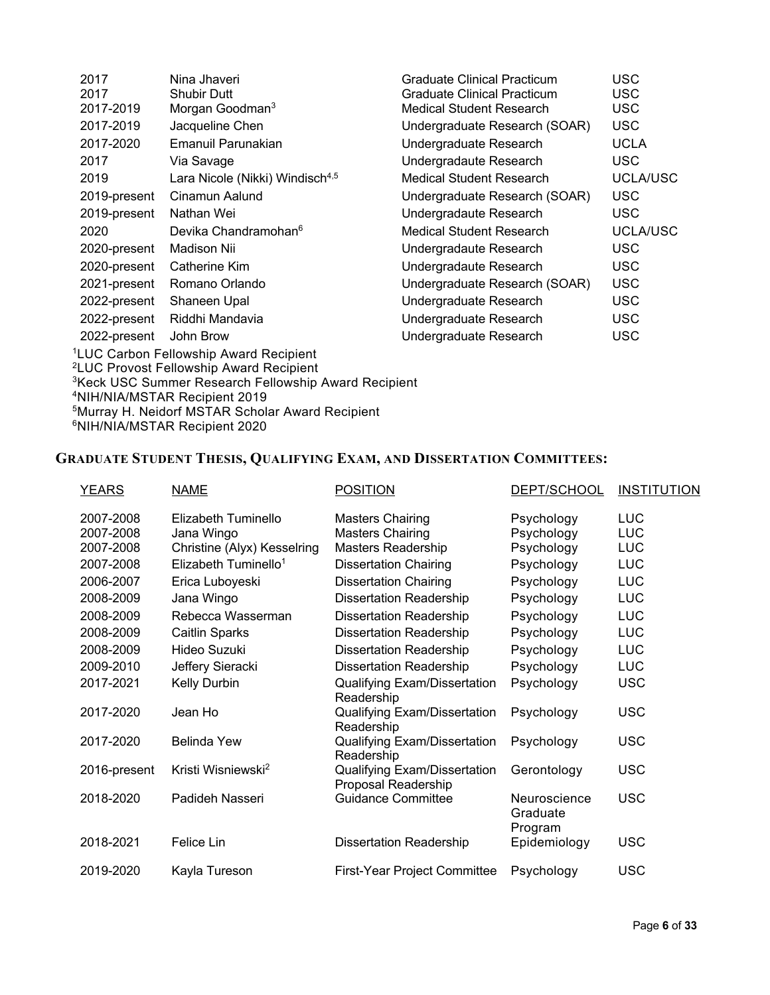| 2017                                                             |              | Nina Jhaveri                                        | Graduate Clinical Practicum     | USC         |
|------------------------------------------------------------------|--------------|-----------------------------------------------------|---------------------------------|-------------|
| 2017                                                             |              | <b>Shubir Dutt</b>                                  | Graduate Clinical Practicum     | <b>USC</b>  |
|                                                                  | 2017-2019    | Morgan Goodman <sup>3</sup>                         | <b>Medical Student Research</b> | <b>USC</b>  |
|                                                                  | 2017-2019    | Jacqueline Chen                                     | Undergraduate Research (SOAR)   | <b>USC</b>  |
|                                                                  | 2017-2020    | Emanuil Parunakian                                  | Undergraduate Research          | <b>UCLA</b> |
| 2017                                                             |              | Via Savage                                          | Undergradaute Research          | USC.        |
| 2019                                                             |              | Lara Nicole (Nikki) Windisch <sup>4,5</sup>         | Medical Student Research        | UCLA/USC    |
|                                                                  | 2019-present | Cinamun Aalund                                      | Undergraduate Research (SOAR)   | <b>USC</b>  |
|                                                                  | 2019-present | Nathan Wei                                          | Undergradaute Research          | USC.        |
| 2020                                                             |              | Devika Chandramohan <sup>6</sup>                    | Medical Student Research        | UCLA/USC    |
|                                                                  | 2020-present | Madison Nii                                         | Undergradaute Research          | <b>USC</b>  |
|                                                                  | 2020-present | Catherine Kim                                       | Undergradaute Research          | <b>USC</b>  |
|                                                                  | 2021-present | Romano Orlando                                      | Undergraduate Research (SOAR)   | <b>USC</b>  |
|                                                                  | 2022-present | Shaneen Upal                                        | Undergraduate Research          | <b>USC</b>  |
|                                                                  | 2022-present | Riddhi Mandavia                                     | Undergraduate Research          | <b>USC</b>  |
|                                                                  | 2022-present | John Brow                                           | Undergraduate Research          | USC         |
| <sup>1</sup> LUC Carbon Fellowship Award Recipient               |              |                                                     |                                 |             |
|                                                                  |              | <sup>2</sup> LUC Provost Fellowship Award Recipient |                                 |             |
| <sup>3</sup> Keck USC Summer Research Fellowship Award Recipient |              |                                                     |                                 |             |
| <sup>4</sup> NIH/NIA/MSTAR Recipient 2019                        |              |                                                     |                                 |             |
|                                                                  |              |                                                     |                                 |             |

5Murray H. Neidorf MSTAR Scholar Award Recipient

6NIH/NIA/MSTAR Recipient 2020

# **GRADUATE STUDENT THESIS, QUALIFYING EXAM, AND DISSERTATION COMMITTEES:**

| <b>YEARS</b>           | <b>NAME</b>                       | <b>POSITION</b>                                     | DEPT/SCHOOL                         | <b>INSTITUTION</b>       |
|------------------------|-----------------------------------|-----------------------------------------------------|-------------------------------------|--------------------------|
| 2007-2008<br>2007-2008 | Elizabeth Tuminello<br>Jana Wingo | <b>Masters Chairing</b><br><b>Masters Chairing</b>  | Psychology<br>Psychology            | <b>LUC</b><br><b>LUC</b> |
| 2007-2008              | Christine (Alyx) Kesselring       | Masters Readership                                  | Psychology                          | <b>LUC</b>               |
| 2007-2008              | Elizabeth Tuminello <sup>1</sup>  | <b>Dissertation Chairing</b>                        | Psychology                          | <b>LUC</b>               |
| 2006-2007              | Erica Luboyeski                   | <b>Dissertation Chairing</b>                        | Psychology                          | <b>LUC</b>               |
| 2008-2009              | Jana Wingo                        | <b>Dissertation Readership</b>                      | Psychology                          | <b>LUC</b>               |
| 2008-2009              | Rebecca Wasserman                 | <b>Dissertation Readership</b>                      | Psychology                          | <b>LUC</b>               |
| 2008-2009              | Caitlin Sparks                    | <b>Dissertation Readership</b>                      | Psychology                          | LUC                      |
| 2008-2009              | Hideo Suzuki                      | <b>Dissertation Readership</b>                      | Psychology                          | LUC                      |
| 2009-2010              | Jeffery Sieracki                  | <b>Dissertation Readership</b>                      | Psychology                          | <b>LUC</b>               |
| 2017-2021              | Kelly Durbin                      | Qualifying Exam/Dissertation<br>Readership          | Psychology                          | <b>USC</b>               |
| 2017-2020              | Jean Ho                           | Qualifying Exam/Dissertation<br>Readership          | Psychology                          | <b>USC</b>               |
| 2017-2020              | Belinda Yew                       | Qualifying Exam/Dissertation<br>Readership          | Psychology                          | <b>USC</b>               |
| 2016-present           | Kristi Wisniewski <sup>2</sup>    | Qualifying Exam/Dissertation<br>Proposal Readership | Gerontology                         | <b>USC</b>               |
| 2018-2020              | Padideh Nasseri                   | <b>Guidance Committee</b>                           | Neuroscience<br>Graduate<br>Program | <b>USC</b>               |
| 2018-2021              | Felice Lin                        | <b>Dissertation Readership</b>                      | Epidemiology                        | <b>USC</b>               |
| 2019-2020              | Kayla Tureson                     | <b>First-Year Project Committee</b>                 | Psychology                          | <b>USC</b>               |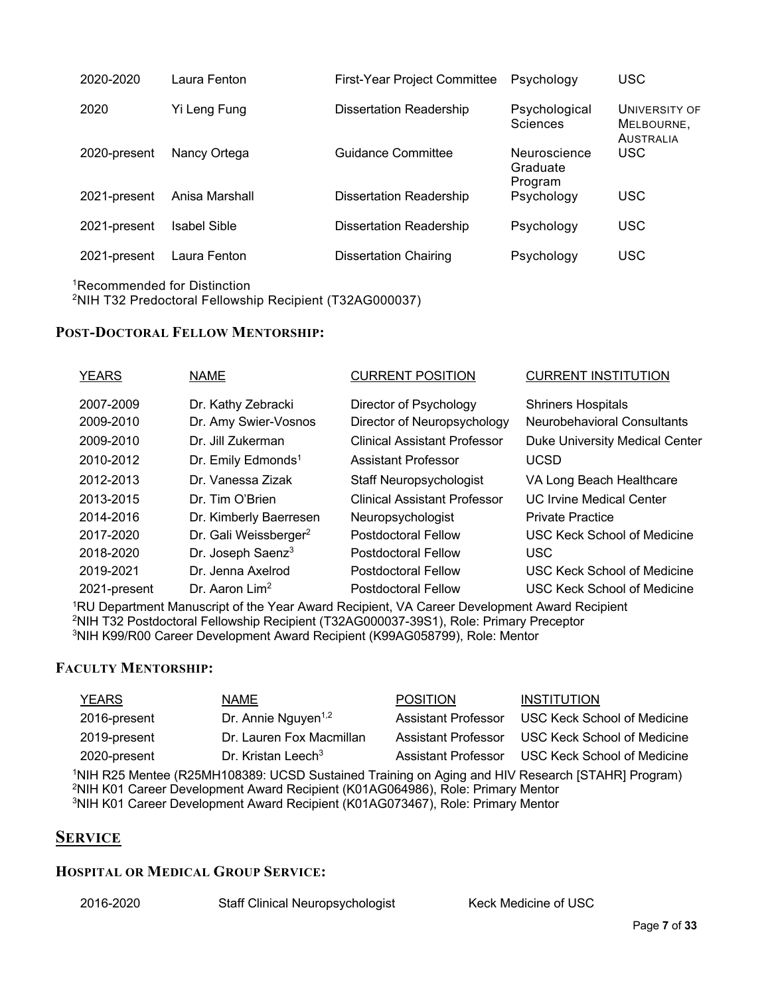| 2020-2020    | Laura Fenton        | <b>First-Year Project Committee</b> | Psychology                          | <b>USC</b>                                      |
|--------------|---------------------|-------------------------------------|-------------------------------------|-------------------------------------------------|
| 2020         | Yi Leng Fung        | <b>Dissertation Readership</b>      | Psychological<br><b>Sciences</b>    | UNIVERSITY OF<br>MELBOURNE.<br><b>AUSTRALIA</b> |
| 2020-present | Nancy Ortega        | Guidance Committee                  | Neuroscience<br>Graduate<br>Program | USC.                                            |
| 2021-present | Anisa Marshall      | <b>Dissertation Readership</b>      | Psychology                          | <b>USC</b>                                      |
| 2021-present | <b>Isabel Sible</b> | <b>Dissertation Readership</b>      | Psychology                          | <b>USC</b>                                      |
| 2021-present | Laura Fenton        | Dissertation Chairing               | Psychology                          | <b>USC</b>                                      |

1Recommended for Distinction 2NIH T32 Predoctoral Fellowship Recipient (T32AG000037)

### **POST-DOCTORAL FELLOW MENTORSHIP:**

| <b>YEARS</b> | <b>NAME</b>                       | <b>CURRENT POSITION</b>             | <b>CURRENT INSTITUTION</b>            |
|--------------|-----------------------------------|-------------------------------------|---------------------------------------|
| 2007-2009    | Dr. Kathy Zebracki                | Director of Psychology              | <b>Shriners Hospitals</b>             |
| 2009-2010    | Dr. Amy Swier-Vosnos              | Director of Neuropsychology         | <b>Neurobehavioral Consultants</b>    |
| 2009-2010    | Dr. Jill Zukerman                 | Clinical Assistant Professor        | <b>Duke University Medical Center</b> |
| 2010-2012    | Dr. Emily Edmonds <sup>1</sup>    | <b>Assistant Professor</b>          | <b>UCSD</b>                           |
| 2012-2013    | Dr. Vanessa Zizak                 | <b>Staff Neuropsychologist</b>      | VA Long Beach Healthcare              |
| 2013-2015    | Dr. Tim O'Brien                   | <b>Clinical Assistant Professor</b> | <b>UC Irvine Medical Center</b>       |
| 2014-2016    | Dr. Kimberly Baerresen            | Neuropsychologist                   | <b>Private Practice</b>               |
| 2017-2020    | Dr. Gali Weissberger <sup>2</sup> | Postdoctoral Fellow                 | <b>USC Keck School of Medicine</b>    |
| 2018-2020    | Dr. Joseph Saenz <sup>3</sup>     | <b>Postdoctoral Fellow</b>          | <b>USC</b>                            |
| 2019-2021    | Dr. Jenna Axelrod                 | Postdoctoral Fellow                 | <b>USC Keck School of Medicine</b>    |
| 2021-present | Dr. Aaron Lim <sup>2</sup>        | <b>Postdoctoral Fellow</b>          | USC Keck School of Medicine           |

1RU Department Manuscript of the Year Award Recipient, VA Career Development Award Recipient 2NIH T32 Postdoctoral Fellowship Recipient (T32AG000037-39S1), Role: Primary Preceptor 3NIH K99/R00 Career Development Award Recipient (K99AG058799), Role: Mentor

#### **FACULTY MENTORSHIP:**

| YEARS        | <b>NAME</b>                     | <b>POSITION</b> | <b>INSTITUTION</b>                              |
|--------------|---------------------------------|-----------------|-------------------------------------------------|
| 2016-present | Dr. Annie Nguyen <sup>1,2</sup> |                 | Assistant Professor USC Keck School of Medicine |
| 2019-present | Dr. Lauren Fox Macmillan        |                 | Assistant Professor USC Keck School of Medicine |
| 2020-present | Dr. Kristan Leech <sup>3</sup>  |                 | Assistant Professor USC Keck School of Medicine |

1NIH R25 Mentee (R25MH108389: UCSD Sustained Training on Aging and HIV Research [STAHR] Program) 2NIH K01 Career Development Award Recipient (K01AG064986), Role: Primary Mentor 3NIH K01 Career Development Award Recipient (K01AG073467), Role: Primary Mentor

### **SERVICE**

### **HOSPITAL OR MEDICAL GROUP SERVICE:**

2016-2020 Staff Clinical Neuropsychologist Keck Medicine of USC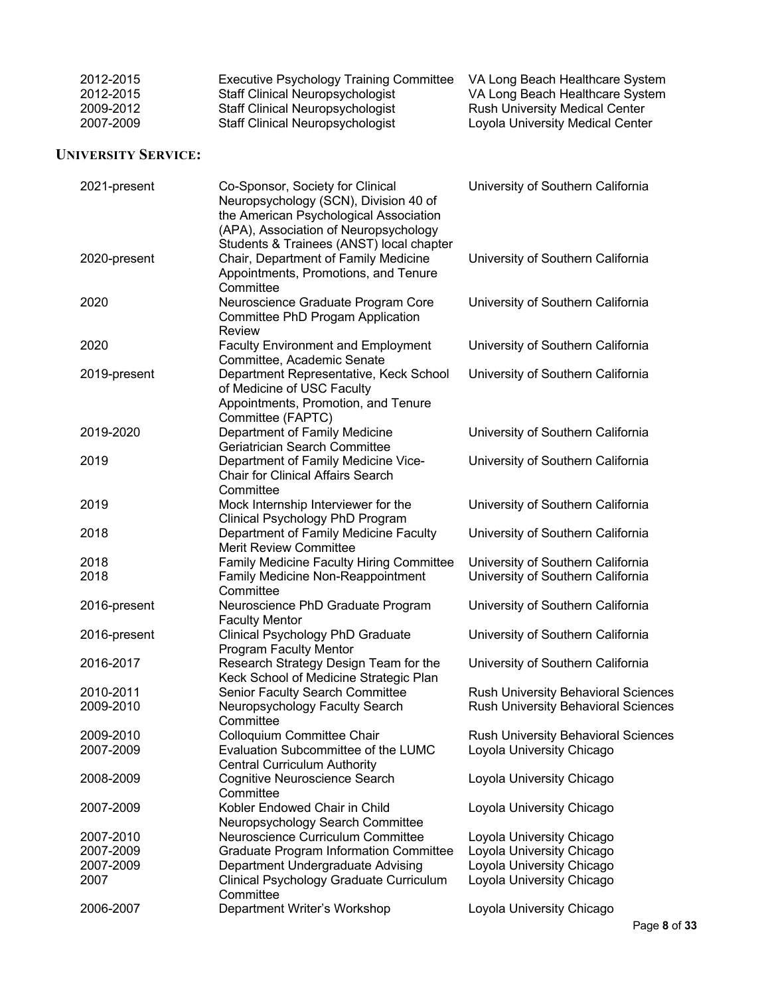| 2012-2015 | Executive Psychology Training Committee | VA Long Beach Healthcare System       |
|-----------|-----------------------------------------|---------------------------------------|
| 2012-2015 | <b>Staff Clinical Neuropsychologist</b> | VA Long Beach Healthcare System       |
| 2009-2012 | <b>Staff Clinical Neuropsychologist</b> | <b>Rush University Medical Center</b> |
| 2007-2009 | <b>Staff Clinical Neuropsychologist</b> | Loyola University Medical Center      |

### **UNIVERSITY SERVICE:**

| 2021-present | Co-Sponsor, Society for Clinical<br>Neuropsychology (SCN), Division 40 of<br>the American Psychological Association<br>(APA), Association of Neuropsychology | University of Southern California          |
|--------------|--------------------------------------------------------------------------------------------------------------------------------------------------------------|--------------------------------------------|
| 2020-present | Students & Trainees (ANST) local chapter<br>Chair, Department of Family Medicine<br>Appointments, Promotions, and Tenure<br>Committee                        | University of Southern California          |
| 2020         | Neuroscience Graduate Program Core<br>Committee PhD Progam Application<br><b>Review</b>                                                                      | University of Southern California          |
| 2020         | <b>Faculty Environment and Employment</b><br>Committee, Academic Senate                                                                                      | University of Southern California          |
| 2019-present | Department Representative, Keck School<br>of Medicine of USC Faculty<br>Appointments, Promotion, and Tenure<br>Committee (FAPTC)                             | University of Southern California          |
| 2019-2020    | Department of Family Medicine<br>Geriatrician Search Committee                                                                                               | University of Southern California          |
| 2019         | Department of Family Medicine Vice-<br><b>Chair for Clinical Affairs Search</b><br>Committee                                                                 | University of Southern California          |
| 2019         | Mock Internship Interviewer for the<br>Clinical Psychology PhD Program                                                                                       | University of Southern California          |
| 2018         | Department of Family Medicine Faculty<br><b>Merit Review Committee</b>                                                                                       | University of Southern California          |
| 2018         | Family Medicine Faculty Hiring Committee                                                                                                                     | University of Southern California          |
| 2018         | Family Medicine Non-Reappointment<br>Committee                                                                                                               | University of Southern California          |
| 2016-present | Neuroscience PhD Graduate Program<br><b>Faculty Mentor</b>                                                                                                   | University of Southern California          |
| 2016-present | Clinical Psychology PhD Graduate<br><b>Program Faculty Mentor</b>                                                                                            | University of Southern California          |
| 2016-2017    | Research Strategy Design Team for the<br>Keck School of Medicine Strategic Plan                                                                              | University of Southern California          |
| 2010-2011    | Senior Faculty Search Committee                                                                                                                              | <b>Rush University Behavioral Sciences</b> |
| 2009-2010    | Neuropsychology Faculty Search<br>Committee                                                                                                                  | Rush University Behavioral Sciences        |
| 2009-2010    | Colloquium Committee Chair                                                                                                                                   | <b>Rush University Behavioral Sciences</b> |
| 2007-2009    | Evaluation Subcommittee of the LUMC<br><b>Central Curriculum Authority</b>                                                                                   | Loyola University Chicago                  |
| 2008-2009    | Cognitive Neuroscience Search<br>Committee                                                                                                                   | Loyola University Chicago                  |
| 2007-2009    | Kobler Endowed Chair in Child<br>Neuropsychology Search Committee                                                                                            | Loyola University Chicago                  |
| 2007-2010    | Neuroscience Curriculum Committee                                                                                                                            | Loyola University Chicago                  |
| 2007-2009    | <b>Graduate Program Information Committee</b>                                                                                                                | Loyola University Chicago                  |
| 2007-2009    | Department Undergraduate Advising                                                                                                                            | Loyola University Chicago                  |
| 2007         | Clinical Psychology Graduate Curriculum<br>Committee                                                                                                         | Loyola University Chicago                  |
| 2006-2007    | Department Writer's Workshop                                                                                                                                 | Loyola University Chicago                  |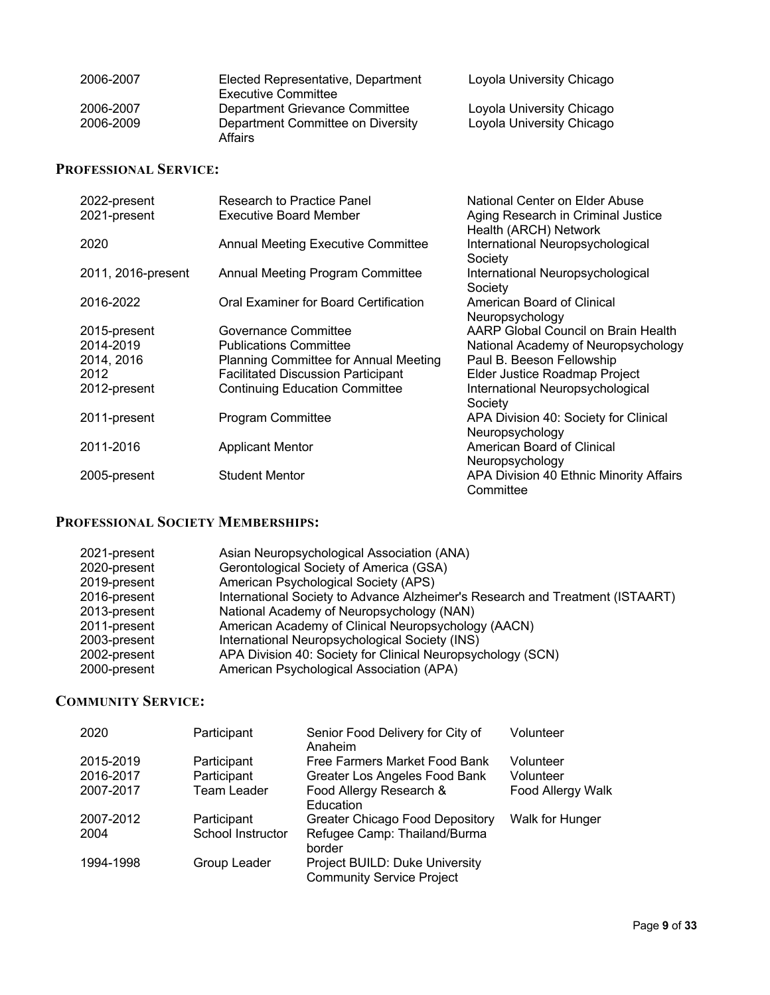| 2006-2007 | Elected Representative, Department<br>Executive Committee | Loyola University Chicago |
|-----------|-----------------------------------------------------------|---------------------------|
| 2006-2007 | Department Grievance Committee                            | Loyola University Chicago |
| 2006-2009 | Department Committee on Diversity<br>Affairs              | Loyola University Chicago |

# **PROFESSIONAL SERVICE:**

| 2022-present       | Research to Practice Panel                | National Center on Elder Abuse                              |
|--------------------|-------------------------------------------|-------------------------------------------------------------|
| 2021-present       | <b>Executive Board Member</b>             | Aging Research in Criminal Justice<br>Health (ARCH) Network |
| 2020               | <b>Annual Meeting Executive Committee</b> | International Neuropsychological<br>Society                 |
| 2011, 2016-present | Annual Meeting Program Committee          | International Neuropsychological<br>Society                 |
| 2016-2022          | Oral Examiner for Board Certification     | American Board of Clinical<br>Neuropsychology               |
| 2015-present       | Governance Committee                      | AARP Global Council on Brain Health                         |
| 2014-2019          | <b>Publications Committee</b>             | National Academy of Neuropsychology                         |
| 2014, 2016         | Planning Committee for Annual Meeting     | Paul B. Beeson Fellowship                                   |
| 2012               | <b>Facilitated Discussion Participant</b> | Elder Justice Roadmap Project                               |
| 2012-present       | <b>Continuing Education Committee</b>     | International Neuropsychological<br>Society                 |
| 2011-present       | Program Committee                         | APA Division 40: Society for Clinical<br>Neuropsychology    |
| 2011-2016          | <b>Applicant Mentor</b>                   | American Board of Clinical<br>Neuropsychology               |
| 2005-present       | <b>Student Mentor</b>                     | APA Division 40 Ethnic Minority Affairs<br>Committee        |

# **PROFESSIONAL SOCIETY MEMBERSHIPS:**

| 2021-present | Asian Neuropsychological Association (ANA)                                    |
|--------------|-------------------------------------------------------------------------------|
| 2020-present | Gerontological Society of America (GSA)                                       |
| 2019-present | American Psychological Society (APS)                                          |
| 2016-present | International Society to Advance Alzheimer's Research and Treatment (ISTAART) |
| 2013-present | National Academy of Neuropsychology (NAN)                                     |
| 2011-present | American Academy of Clinical Neuropsychology (AACN)                           |
| 2003-present | International Neuropsychological Society (INS)                                |
| 2002-present | APA Division 40: Society for Clinical Neuropsychology (SCN)                   |
| 2000-present | American Psychological Association (APA)                                      |

# **COMMUNITY SERVICE:**

| 2020      | Participant       | Senior Food Delivery for City of<br>Anaheim                        | Volunteer         |
|-----------|-------------------|--------------------------------------------------------------------|-------------------|
| 2015-2019 | Participant       | Free Farmers Market Food Bank                                      | Volunteer         |
| 2016-2017 | Participant       | Greater Los Angeles Food Bank                                      | Volunteer         |
| 2007-2017 | Team Leader       | Food Allergy Research &<br>Education                               | Food Allergy Walk |
| 2007-2012 | Participant       | <b>Greater Chicago Food Depository</b>                             | Walk for Hunger   |
| 2004      | School Instructor | Refugee Camp: Thailand/Burma<br>border                             |                   |
| 1994-1998 | Group Leader      | Project BUILD: Duke University<br><b>Community Service Project</b> |                   |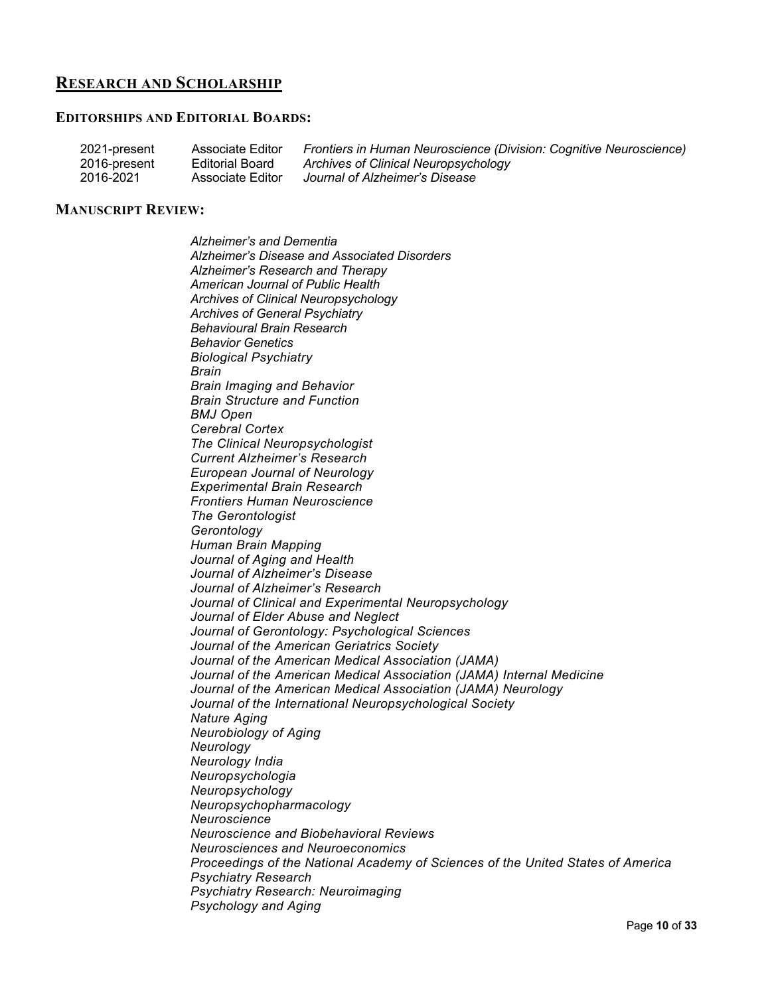## **RESEARCH AND SCHOLARSHIP**

#### **EDITORSHIPS AND EDITORIAL BOARDS:**

| 2021-present | Associate Editor | Frontiers in Human Neuroscience (Division: Cognitive Neuroscience) |
|--------------|------------------|--------------------------------------------------------------------|
| 2016-present | Editorial Board  | Archives of Clinical Neuropsychology                               |
| 2016-2021    | Associate Editor | Journal of Alzheimer's Disease                                     |

#### **MANUSCRIPT REVIEW:**

*Alzheimer's and Dementia Alzheimer's Disease and Associated Disorders Alzheimer's Research and Therapy American Journal of Public Health Archives of Clinical Neuropsychology Archives of General Psychiatry Behavioural Brain Research Behavior Genetics Biological Psychiatry Brain Brain Imaging and Behavior Brain Structure and Function BMJ Open Cerebral Cortex The Clinical Neuropsychologist Current Alzheimer's Research European Journal of Neurology Experimental Brain Research Frontiers Human Neuroscience The Gerontologist Gerontology Human Brain Mapping Journal of Aging and Health Journal of Alzheimer's Disease Journal of Alzheimer's Research Journal of Clinical and Experimental Neuropsychology Journal of Elder Abuse and Neglect Journal of Gerontology: Psychological Sciences Journal of the American Geriatrics Society Journal of the American Medical Association (JAMA) Journal of the American Medical Association (JAMA) Internal Medicine Journal of the American Medical Association (JAMA) Neurology Journal of the International Neuropsychological Society Nature Aging Neurobiology of Aging Neurology Neurology India Neuropsychologia Neuropsychology Neuropsychopharmacology Neuroscience Neuroscience and Biobehavioral Reviews Neurosciences and Neuroeconomics Proceedings of the National Academy of Sciences of the United States of America Psychiatry Research Psychiatry Research: Neuroimaging Psychology and Aging*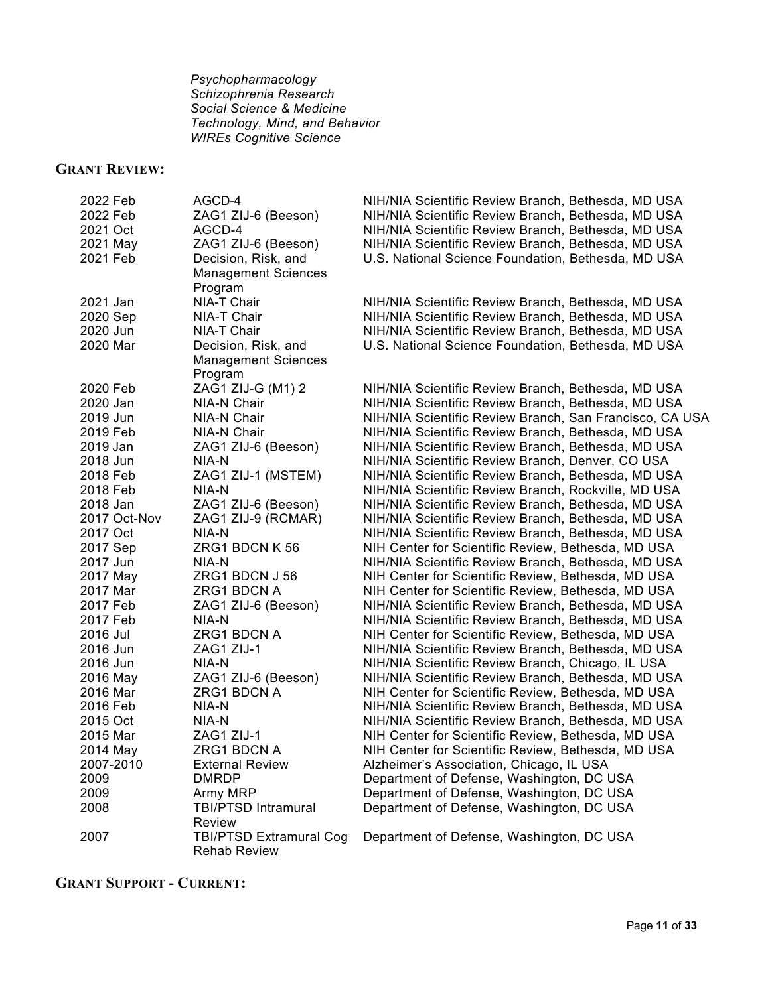*Psychopharmacology Schizophrenia Research Social Science & Medicine Technology, Mind, and Behavior WIREs Cognitive Science*

# **GRANT REVIEW:**

| 2022 Feb     | AGCD-4                         | NIH/NIA Scientific Review Branch, Bethesda, MD USA      |
|--------------|--------------------------------|---------------------------------------------------------|
| 2022 Feb     | ZAG1 ZIJ-6 (Beeson)            | NIH/NIA Scientific Review Branch, Bethesda, MD USA      |
| 2021 Oct     | AGCD-4                         | NIH/NIA Scientific Review Branch, Bethesda, MD USA      |
| 2021 May     | ZAG1 ZIJ-6 (Beeson)            | NIH/NIA Scientific Review Branch, Bethesda, MD USA      |
| 2021 Feb     | Decision, Risk, and            | U.S. National Science Foundation, Bethesda, MD USA      |
|              | <b>Management Sciences</b>     |                                                         |
|              | Program                        |                                                         |
| 2021 Jan     | NIA-T Chair                    | NIH/NIA Scientific Review Branch, Bethesda, MD USA      |
| 2020 Sep     | NIA-T Chair                    | NIH/NIA Scientific Review Branch, Bethesda, MD USA      |
| 2020 Jun     | NIA-T Chair                    | NIH/NIA Scientific Review Branch, Bethesda, MD USA      |
| 2020 Mar     | Decision, Risk, and            | U.S. National Science Foundation, Bethesda, MD USA      |
|              | <b>Management Sciences</b>     |                                                         |
|              | Program                        |                                                         |
| 2020 Feb     | ZAG1 ZIJ-G (M1) 2              | NIH/NIA Scientific Review Branch, Bethesda, MD USA      |
| 2020 Jan     | NIA-N Chair                    | NIH/NIA Scientific Review Branch, Bethesda, MD USA      |
| 2019 Jun     | NIA-N Chair                    | NIH/NIA Scientific Review Branch, San Francisco, CA USA |
| 2019 Feb     | NIA-N Chair                    | NIH/NIA Scientific Review Branch, Bethesda, MD USA      |
| 2019 Jan     | ZAG1 ZIJ-6 (Beeson)            | NIH/NIA Scientific Review Branch, Bethesda, MD USA      |
| 2018 Jun     | NIA-N                          | NIH/NIA Scientific Review Branch, Denver, CO USA        |
| 2018 Feb     | ZAG1 ZIJ-1 (MSTEM)             | NIH/NIA Scientific Review Branch, Bethesda, MD USA      |
| 2018 Feb     | NIA-N                          | NIH/NIA Scientific Review Branch, Rockville, MD USA     |
| 2018 Jan     | ZAG1 ZIJ-6 (Beeson)            | NIH/NIA Scientific Review Branch, Bethesda, MD USA      |
| 2017 Oct-Nov | ZAG1 ZIJ-9 (RCMAR)             | NIH/NIA Scientific Review Branch, Bethesda, MD USA      |
| 2017 Oct     | NIA-N                          | NIH/NIA Scientific Review Branch, Bethesda, MD USA      |
| 2017 Sep     | ZRG1 BDCN K 56                 | NIH Center for Scientific Review, Bethesda, MD USA      |
| 2017 Jun     | NIA-N                          | NIH/NIA Scientific Review Branch, Bethesda, MD USA      |
| 2017 May     | ZRG1 BDCN J 56                 | NIH Center for Scientific Review, Bethesda, MD USA      |
| 2017 Mar     | ZRG1 BDCN A                    | NIH Center for Scientific Review, Bethesda, MD USA      |
| 2017 Feb     | ZAG1 ZIJ-6 (Beeson)            | NIH/NIA Scientific Review Branch, Bethesda, MD USA      |
| 2017 Feb     | NIA-N                          | NIH/NIA Scientific Review Branch, Bethesda, MD USA      |
| 2016 Jul     | ZRG1 BDCN A                    | NIH Center for Scientific Review, Bethesda, MD USA      |
| 2016 Jun     | ZAG1 ZIJ-1                     | NIH/NIA Scientific Review Branch, Bethesda, MD USA      |
| 2016 Jun     | NIA-N                          | NIH/NIA Scientific Review Branch, Chicago, IL USA       |
| 2016 May     | ZAG1 ZIJ-6 (Beeson)            | NIH/NIA Scientific Review Branch, Bethesda, MD USA      |
| 2016 Mar     | ZRG1 BDCN A                    | NIH Center for Scientific Review, Bethesda, MD USA      |
| 2016 Feb     | NIA-N                          | NIH/NIA Scientific Review Branch, Bethesda, MD USA      |
| 2015 Oct     | NIA-N                          | NIH/NIA Scientific Review Branch, Bethesda, MD USA      |
| 2015 Mar     | ZAG1 ZIJ-1                     | NIH Center for Scientific Review, Bethesda, MD USA      |
| 2014 May     | ZRG1 BDCN A                    | NIH Center for Scientific Review, Bethesda, MD USA      |
| 2007-2010    | <b>External Review</b>         | Alzheimer's Association, Chicago, IL USA                |
| 2009         | <b>DMRDP</b>                   | Department of Defense, Washington, DC USA               |
| 2009         | Army MRP                       | Department of Defense, Washington, DC USA               |
| 2008         | <b>TBI/PTSD Intramural</b>     | Department of Defense, Washington, DC USA               |
|              | <b>Review</b>                  |                                                         |
| 2007         | <b>TBI/PTSD Extramural Cog</b> | Department of Defense, Washington, DC USA               |
|              | <b>Rehab Review</b>            |                                                         |
|              |                                |                                                         |

**GRANT SUPPORT - CURRENT:**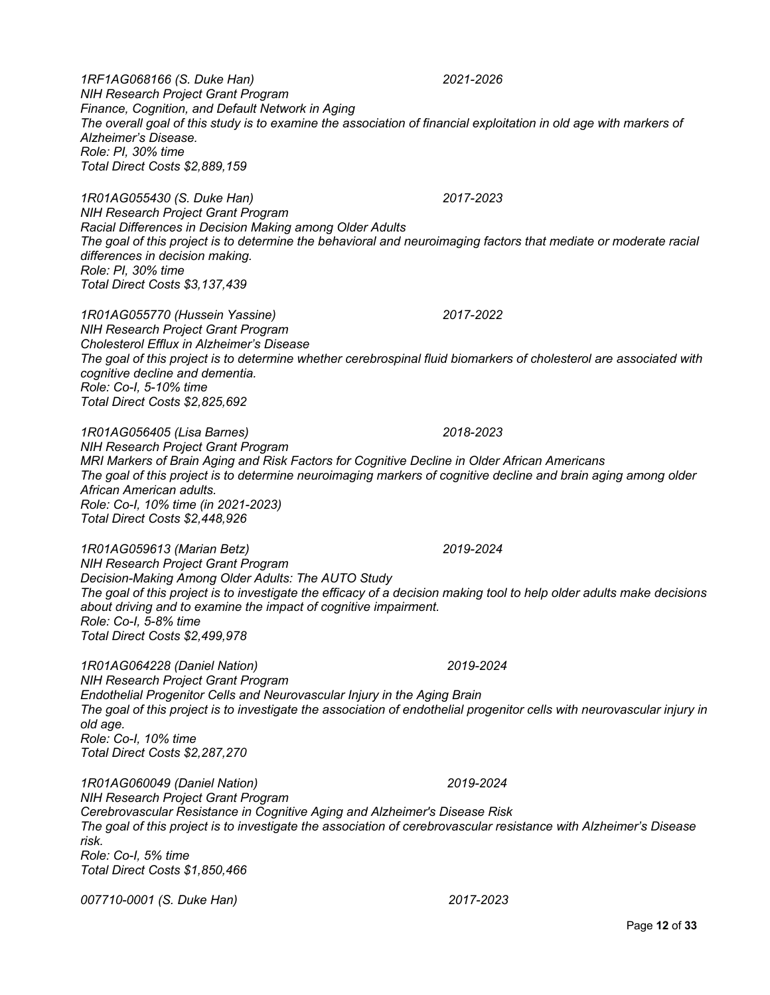*1RF1AG068166 (S. Duke Han) 2021-2026 NIH Research Project Grant Program Finance, Cognition, and Default Network in Aging The overall goal of this study is to examine the association of financial exploitation in old age with markers of Alzheimer's Disease. Role: PI, 30% time Total Direct Costs \$2,889,159*

*1R01AG055430 (S. Duke Han) 2017-2023 NIH Research Project Grant Program Racial Differences in Decision Making among Older Adults The goal of this project is to determine the behavioral and neuroimaging factors that mediate or moderate racial differences in decision making. Role: PI, 30% time Total Direct Costs \$3,137,439* 

*1R01AG055770 (Hussein Yassine) 2017-2022 NIH Research Project Grant Program Cholesterol Efflux in Alzheimer's Disease The goal of this project is to determine whether cerebrospinal fluid biomarkers of cholesterol are associated with cognitive decline and dementia. Role: Co-I, 5-10% time Total Direct Costs \$2,825,692*

*1R01AG056405 (Lisa Barnes) 2018-2023 NIH Research Project Grant Program MRI Markers of Brain Aging and Risk Factors for Cognitive Decline in Older African Americans The goal of this project is to determine neuroimaging markers of cognitive decline and brain aging among older African American adults. Role: Co-I, 10% time (in 2021-2023) Total Direct Costs \$2,448,926*

*1R01AG059613 (Marian Betz) 2019-2024 NIH Research Project Grant Program Decision-Making Among Older Adults: The AUTO Study The goal of this project is to investigate the efficacy of a decision making tool to help older adults make decisions about driving and to examine the impact of cognitive impairment. Role: Co-I, 5-8% time Total Direct Costs \$2,499,978*

*1R01AG064228 (Daniel Nation) 2019-2024 NIH Research Project Grant Program Endothelial Progenitor Cells and Neurovascular Injury in the Aging Brain The goal of this project is to investigate the association of endothelial progenitor cells with neurovascular injury in old age. Role: Co-I, 10% time Total Direct Costs \$2,287,270*

*1R01AG060049 (Daniel Nation) 2019-2024 NIH Research Project Grant Program Cerebrovascular Resistance in Cognitive Aging and Alzheimer's Disease Risk The goal of this project is to investigate the association of cerebrovascular resistance with Alzheimer's Disease risk. Role: Co-I, 5% time Total Direct Costs \$1,850,466*

*007710-0001 (S. Duke Han) 2017-2023*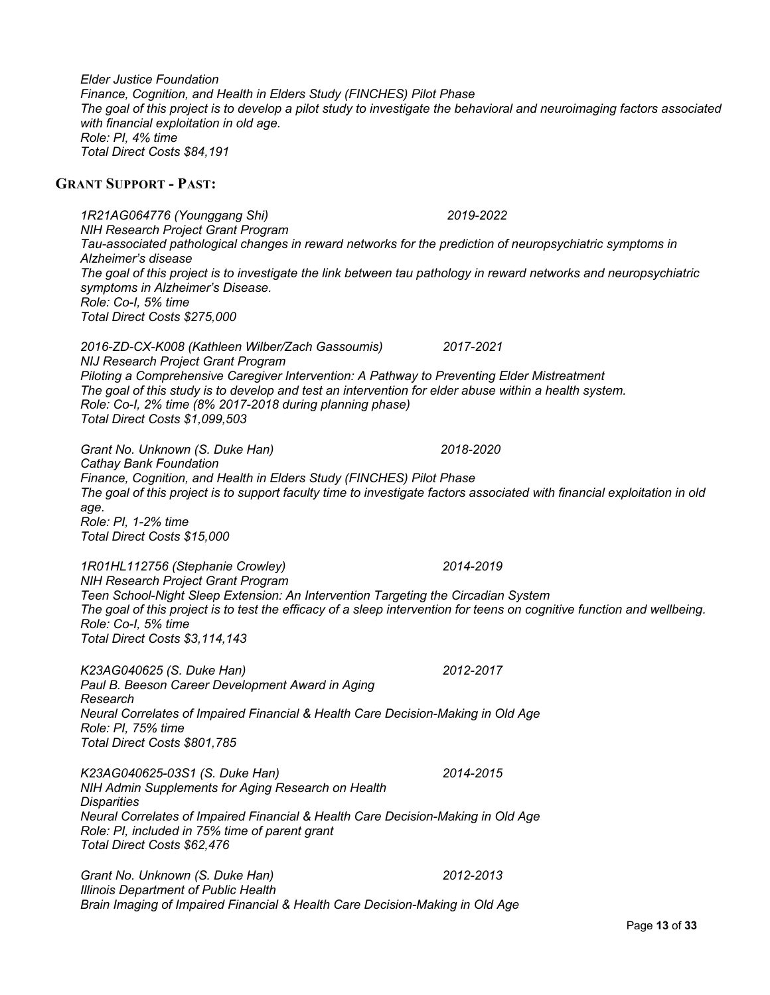Page **13** of **33** *Tau-associated pathological changes in reward networks for the prediction of neuropsychiatric symptoms in Alzheimer's disease The goal of this project is to investigate the link between tau pathology in reward networks and neuropsychiatric symptoms in Alzheimer's Disease. Role: Co-I, 5% time Total Direct Costs \$275,000 2016-ZD-CX-K008 (Kathleen Wilber/Zach Gassoumis) 2017-2021 NIJ Research Project Grant Program Piloting a Comprehensive Caregiver Intervention: A Pathway to Preventing Elder Mistreatment The goal of this study is to develop and test an intervention for elder abuse within a health system. Role: Co-I, 2% time (8% 2017-2018 during planning phase) Total Direct Costs \$1,099,503 Grant No. Unknown (S. Duke Han) 2018-2020 Cathay Bank Foundation Finance, Cognition, and Health in Elders Study (FINCHES) Pilot Phase The goal of this project is to support faculty time to investigate factors associated with financial exploitation in old age. Role: PI, 1-2% time Total Direct Costs \$15,000 1R01HL112756 (Stephanie Crowley) 2014-2019 NIH Research Project Grant Program Teen School-Night Sleep Extension: An Intervention Targeting the Circadian System The goal of this project is to test the efficacy of a sleep intervention for teens on cognitive function and wellbeing. Role: Co-I, 5% time Total Direct Costs \$3,114,143 K23AG040625 (S. Duke Han) 2012-2017 Paul B. Beeson Career Development Award in Aging Research Neural Correlates of Impaired Financial & Health Care Decision-Making in Old Age Role: PI, 75% time Total Direct Costs \$801,785 K23AG040625-03S1 (S. Duke Han) 2014-2015 NIH Admin Supplements for Aging Research on Health Disparities Neural Correlates of Impaired Financial & Health Care Decision-Making in Old Age Role: PI, included in 75% time of parent grant Total Direct Costs \$62,476 Grant No. Unknown (S. Duke Han) 2012-2013 Illinois Department of Public Health Brain Imaging of Impaired Financial & Health Care Decision-Making in Old Age*

*Elder Justice Foundation Finance, Cognition, and Health in Elders Study (FINCHES) Pilot Phase The goal of this project is to develop a pilot study to investigate the behavioral and neuroimaging factors associated with financial exploitation in old age. Role: PI, 4% time Total Direct Costs \$84,191*

#### **GRANT SUPPORT - PAST:**

*1R21AG064776 (Younggang Shi) 2019-2022 NIH Research Project Grant Program*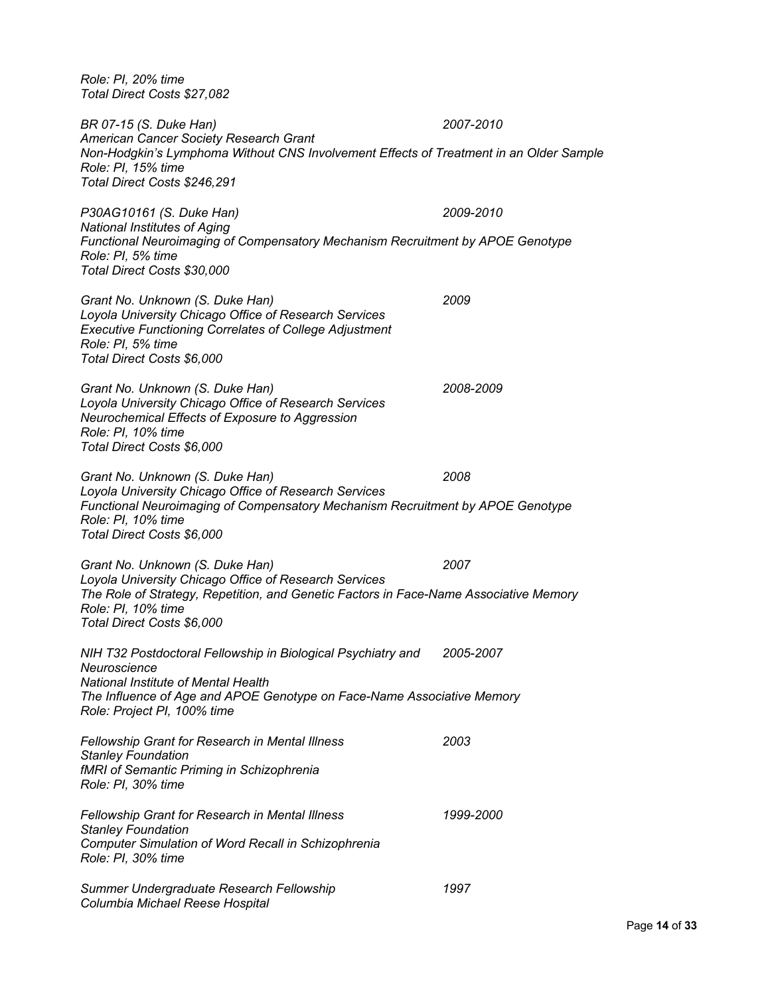*Role: PI, 20% time Total Direct Costs \$27,082*

*BR 07-15 (S. Duke Han) 2007-2010 American Cancer Society Research Grant Non-Hodgkin's Lymphoma Without CNS Involvement Effects of Treatment in an Older Sample Role: PI, 15% time Total Direct Costs \$246,291*

*P30AG10161 (S. Duke Han) 2009-2010 National Institutes of Aging Functional Neuroimaging of Compensatory Mechanism Recruitment by APOE Genotype Role: PI, 5% time Total Direct Costs \$30,000*

*Grant No. Unknown (S. Duke Han) 2009 Loyola University Chicago Office of Research Services Executive Functioning Correlates of College Adjustment Role: PI, 5% time Total Direct Costs \$6,000*

*Grant No. Unknown (S. Duke Han) 2008-2009 Loyola University Chicago Office of Research Services Neurochemical Effects of Exposure to Aggression Role: PI, 10% time Total Direct Costs \$6,000*

*Grant No. Unknown (S. Duke Han) 2008 Loyola University Chicago Office of Research Services Functional Neuroimaging of Compensatory Mechanism Recruitment by APOE Genotype Role: PI, 10% time Total Direct Costs \$6,000*

*Grant No. Unknown (S. Duke Han) 2007 Loyola University Chicago Office of Research Services The Role of Strategy, Repetition, and Genetic Factors in Face-Name Associative Memory Role: PI, 10% time Total Direct Costs \$6,000*

*NIH T32 Postdoctoral Fellowship in Biological Psychiatry and Neuroscience 2005-2007 National Institute of Mental Health The Influence of Age and APOE Genotype on Face-Name Associative Memory Role: Project PI, 100% time*

*Fellowship Grant for Research in Mental Illness 2003 Stanley Foundation fMRI of Semantic Priming in Schizophrenia Role: PI, 30% time Fellowship Grant for Research in Mental Illness 1999-2000 Stanley Foundation Computer Simulation of Word Recall in Schizophrenia*

*Summer Undergraduate Research Fellowship 1997 Columbia Michael Reese Hospital*

*Role: PI, 30% time*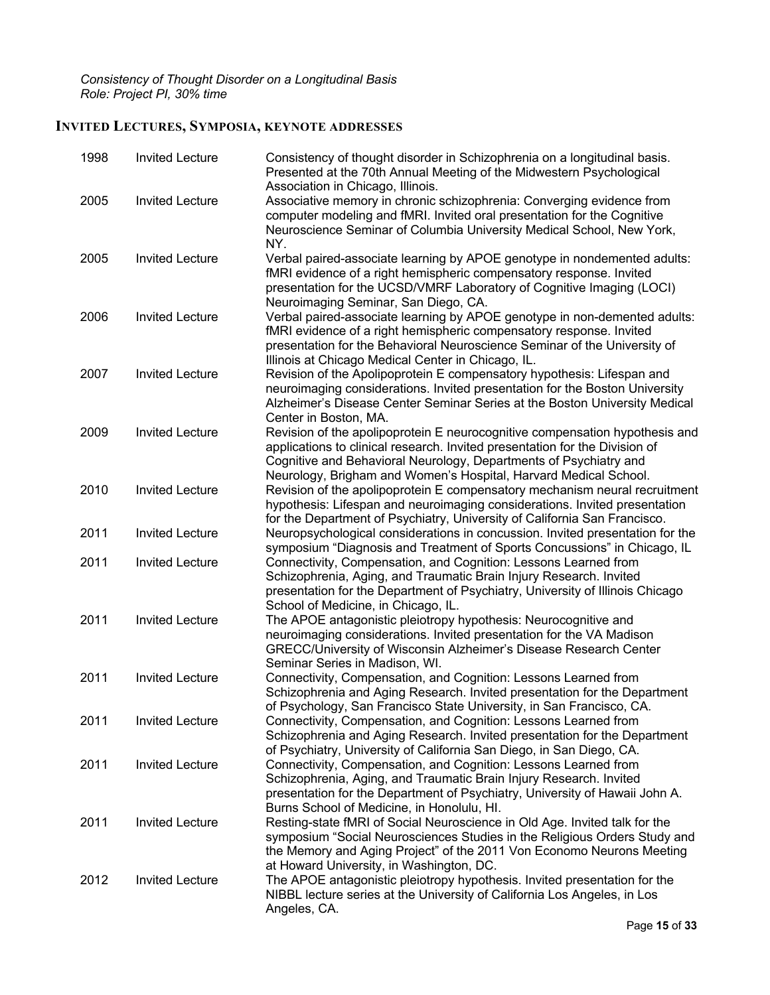# **INVITED LECTURES, SYMPOSIA, KEYNOTE ADDRESSES**

| 1998 | <b>Invited Lecture</b> | Consistency of thought disorder in Schizophrenia on a longitudinal basis.<br>Presented at the 70th Annual Meeting of the Midwestern Psychological<br>Association in Chicago, Illinois.                                                                                                              |
|------|------------------------|-----------------------------------------------------------------------------------------------------------------------------------------------------------------------------------------------------------------------------------------------------------------------------------------------------|
| 2005 | <b>Invited Lecture</b> | Associative memory in chronic schizophrenia: Converging evidence from<br>computer modeling and fMRI. Invited oral presentation for the Cognitive<br>Neuroscience Seminar of Columbia University Medical School, New York,<br>NY.                                                                    |
| 2005 | <b>Invited Lecture</b> | Verbal paired-associate learning by APOE genotype in nondemented adults:<br>fMRI evidence of a right hemispheric compensatory response. Invited<br>presentation for the UCSD/VMRF Laboratory of Cognitive Imaging (LOCI)<br>Neuroimaging Seminar, San Diego, CA.                                    |
| 2006 | <b>Invited Lecture</b> | Verbal paired-associate learning by APOE genotype in non-demented adults:<br>fMRI evidence of a right hemispheric compensatory response. Invited<br>presentation for the Behavioral Neuroscience Seminar of the University of<br>Illinois at Chicago Medical Center in Chicago, IL.                 |
| 2007 | <b>Invited Lecture</b> | Revision of the Apolipoprotein E compensatory hypothesis: Lifespan and<br>neuroimaging considerations. Invited presentation for the Boston University<br>Alzheimer's Disease Center Seminar Series at the Boston University Medical<br>Center in Boston, MA.                                        |
| 2009 | <b>Invited Lecture</b> | Revision of the apolipoprotein E neurocognitive compensation hypothesis and<br>applications to clinical research. Invited presentation for the Division of<br>Cognitive and Behavioral Neurology, Departments of Psychiatry and<br>Neurology, Brigham and Women's Hospital, Harvard Medical School. |
| 2010 | <b>Invited Lecture</b> | Revision of the apolipoprotein E compensatory mechanism neural recruitment<br>hypothesis: Lifespan and neuroimaging considerations. Invited presentation<br>for the Department of Psychiatry, University of California San Francisco.                                                               |
| 2011 | <b>Invited Lecture</b> | Neuropsychological considerations in concussion. Invited presentation for the<br>symposium "Diagnosis and Treatment of Sports Concussions" in Chicago, IL                                                                                                                                           |
| 2011 | <b>Invited Lecture</b> | Connectivity, Compensation, and Cognition: Lessons Learned from<br>Schizophrenia, Aging, and Traumatic Brain Injury Research. Invited<br>presentation for the Department of Psychiatry, University of Illinois Chicago<br>School of Medicine, in Chicago, IL.                                       |
| 2011 | <b>Invited Lecture</b> | The APOE antagonistic pleiotropy hypothesis: Neurocognitive and<br>neuroimaging considerations. Invited presentation for the VA Madison<br>GRECC/University of Wisconsin Alzheimer's Disease Research Center<br>Seminar Series in Madison, WI.                                                      |
| 2011 | <b>Invited Lecture</b> | Connectivity, Compensation, and Cognition: Lessons Learned from<br>Schizophrenia and Aging Research. Invited presentation for the Department<br>of Psychology, San Francisco State University, in San Francisco, CA.                                                                                |
| 2011 | <b>Invited Lecture</b> | Connectivity, Compensation, and Cognition: Lessons Learned from<br>Schizophrenia and Aging Research. Invited presentation for the Department<br>of Psychiatry, University of California San Diego, in San Diego, CA.                                                                                |
| 2011 | <b>Invited Lecture</b> | Connectivity, Compensation, and Cognition: Lessons Learned from<br>Schizophrenia, Aging, and Traumatic Brain Injury Research. Invited<br>presentation for the Department of Psychiatry, University of Hawaii John A.<br>Burns School of Medicine, in Honolulu, HI.                                  |
| 2011 | <b>Invited Lecture</b> | Resting-state fMRI of Social Neuroscience in Old Age. Invited talk for the<br>symposium "Social Neurosciences Studies in the Religious Orders Study and<br>the Memory and Aging Project" of the 2011 Von Economo Neurons Meeting<br>at Howard University, in Washington, DC.                        |
| 2012 | <b>Invited Lecture</b> | The APOE antagonistic pleiotropy hypothesis. Invited presentation for the<br>NIBBL lecture series at the University of California Los Angeles, in Los<br>Angeles, CA.                                                                                                                               |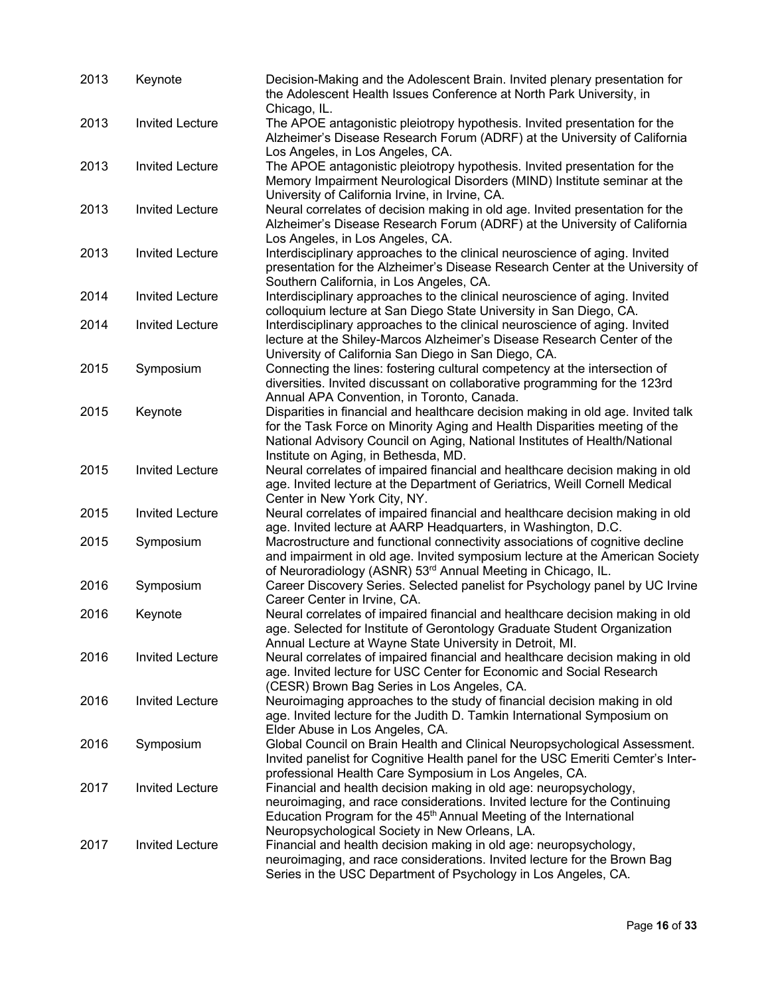| 2013 | Keynote                | Decision-Making and the Adolescent Brain. Invited plenary presentation for<br>the Adolescent Health Issues Conference at North Park University, in                                                                                                                                   |
|------|------------------------|--------------------------------------------------------------------------------------------------------------------------------------------------------------------------------------------------------------------------------------------------------------------------------------|
| 2013 | <b>Invited Lecture</b> | Chicago, IL.<br>The APOE antagonistic pleiotropy hypothesis. Invited presentation for the<br>Alzheimer's Disease Research Forum (ADRF) at the University of California<br>Los Angeles, in Los Angeles, CA.                                                                           |
| 2013 | <b>Invited Lecture</b> | The APOE antagonistic pleiotropy hypothesis. Invited presentation for the<br>Memory Impairment Neurological Disorders (MIND) Institute seminar at the<br>University of California Irvine, in Irvine, CA.                                                                             |
| 2013 | <b>Invited Lecture</b> | Neural correlates of decision making in old age. Invited presentation for the<br>Alzheimer's Disease Research Forum (ADRF) at the University of California<br>Los Angeles, in Los Angeles, CA.                                                                                       |
| 2013 | <b>Invited Lecture</b> | Interdisciplinary approaches to the clinical neuroscience of aging. Invited<br>presentation for the Alzheimer's Disease Research Center at the University of<br>Southern California, in Los Angeles, CA.                                                                             |
| 2014 | <b>Invited Lecture</b> | Interdisciplinary approaches to the clinical neuroscience of aging. Invited<br>colloquium lecture at San Diego State University in San Diego, CA.                                                                                                                                    |
| 2014 | <b>Invited Lecture</b> | Interdisciplinary approaches to the clinical neuroscience of aging. Invited<br>lecture at the Shiley-Marcos Alzheimer's Disease Research Center of the<br>University of California San Diego in San Diego, CA.                                                                       |
| 2015 | Symposium              | Connecting the lines: fostering cultural competency at the intersection of<br>diversities. Invited discussant on collaborative programming for the 123rd<br>Annual APA Convention, in Toronto, Canada.                                                                               |
| 2015 | Keynote                | Disparities in financial and healthcare decision making in old age. Invited talk<br>for the Task Force on Minority Aging and Health Disparities meeting of the<br>National Advisory Council on Aging, National Institutes of Health/National<br>Institute on Aging, in Bethesda, MD. |
| 2015 | <b>Invited Lecture</b> | Neural correlates of impaired financial and healthcare decision making in old<br>age. Invited lecture at the Department of Geriatrics, Weill Cornell Medical<br>Center in New York City, NY.                                                                                         |
| 2015 | <b>Invited Lecture</b> | Neural correlates of impaired financial and healthcare decision making in old<br>age. Invited lecture at AARP Headquarters, in Washington, D.C.                                                                                                                                      |
| 2015 | Symposium              | Macrostructure and functional connectivity associations of cognitive decline<br>and impairment in old age. Invited symposium lecture at the American Society<br>of Neuroradiology (ASNR) 53rd Annual Meeting in Chicago, IL.                                                         |
| 2016 | Symposium              | Career Discovery Series. Selected panelist for Psychology panel by UC Irvine<br>Career Center in Irvine, CA.                                                                                                                                                                         |
| 2016 | Keynote                | Neural correlates of impaired financial and healthcare decision making in old<br>age. Selected for Institute of Gerontology Graduate Student Organization<br>Annual Lecture at Wayne State University in Detroit, MI.                                                                |
| 2016 | <b>Invited Lecture</b> | Neural correlates of impaired financial and healthcare decision making in old<br>age. Invited lecture for USC Center for Economic and Social Research<br>(CESR) Brown Bag Series in Los Angeles, CA.                                                                                 |
| 2016 | <b>Invited Lecture</b> | Neuroimaging approaches to the study of financial decision making in old<br>age. Invited lecture for the Judith D. Tamkin International Symposium on<br>Elder Abuse in Los Angeles, CA.                                                                                              |
| 2016 | Symposium              | Global Council on Brain Health and Clinical Neuropsychological Assessment.<br>Invited panelist for Cognitive Health panel for the USC Emeriti Cemter's Inter-<br>professional Health Care Symposium in Los Angeles, CA.                                                              |
| 2017 | <b>Invited Lecture</b> | Financial and health decision making in old age: neuropsychology,<br>neuroimaging, and race considerations. Invited lecture for the Continuing<br>Education Program for the 45 <sup>th</sup> Annual Meeting of the International<br>Neuropsychological Society in New Orleans, LA.   |
| 2017 | <b>Invited Lecture</b> | Financial and health decision making in old age: neuropsychology,<br>neuroimaging, and race considerations. Invited lecture for the Brown Bag<br>Series in the USC Department of Psychology in Los Angeles, CA.                                                                      |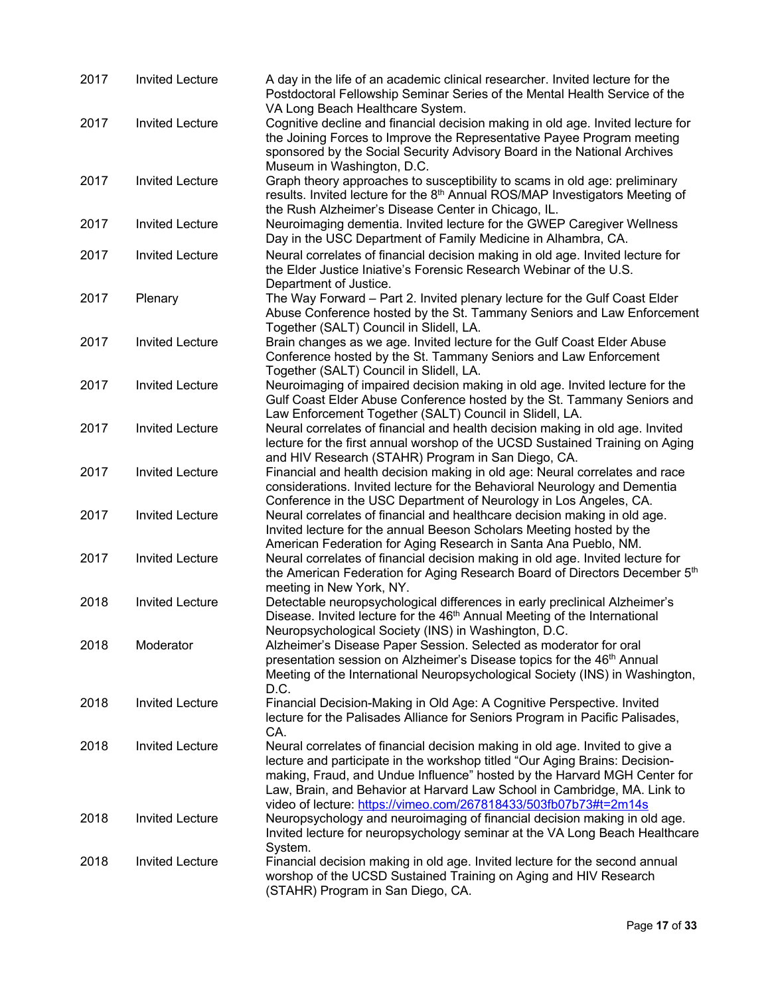| 2017 | <b>Invited Lecture</b> | A day in the life of an academic clinical researcher. Invited lecture for the<br>Postdoctoral Fellowship Seminar Series of the Mental Health Service of the<br>VA Long Beach Healthcare System.                                                                                                                                                                                         |
|------|------------------------|-----------------------------------------------------------------------------------------------------------------------------------------------------------------------------------------------------------------------------------------------------------------------------------------------------------------------------------------------------------------------------------------|
| 2017 | <b>Invited Lecture</b> | Cognitive decline and financial decision making in old age. Invited lecture for<br>the Joining Forces to Improve the Representative Payee Program meeting<br>sponsored by the Social Security Advisory Board in the National Archives<br>Museum in Washington, D.C.                                                                                                                     |
| 2017 | <b>Invited Lecture</b> | Graph theory approaches to susceptibility to scams in old age: preliminary<br>results. Invited lecture for the 8 <sup>th</sup> Annual ROS/MAP Investigators Meeting of<br>the Rush Alzheimer's Disease Center in Chicago, IL.                                                                                                                                                           |
| 2017 | <b>Invited Lecture</b> | Neuroimaging dementia. Invited lecture for the GWEP Caregiver Wellness<br>Day in the USC Department of Family Medicine in Alhambra, CA.                                                                                                                                                                                                                                                 |
| 2017 | <b>Invited Lecture</b> | Neural correlates of financial decision making in old age. Invited lecture for<br>the Elder Justice Iniative's Forensic Research Webinar of the U.S.<br>Department of Justice.                                                                                                                                                                                                          |
| 2017 | Plenary                | The Way Forward - Part 2. Invited plenary lecture for the Gulf Coast Elder<br>Abuse Conference hosted by the St. Tammany Seniors and Law Enforcement<br>Together (SALT) Council in Slidell, LA.                                                                                                                                                                                         |
| 2017 | <b>Invited Lecture</b> | Brain changes as we age. Invited lecture for the Gulf Coast Elder Abuse<br>Conference hosted by the St. Tammany Seniors and Law Enforcement<br>Together (SALT) Council in Slidell, LA.                                                                                                                                                                                                  |
| 2017 | <b>Invited Lecture</b> | Neuroimaging of impaired decision making in old age. Invited lecture for the<br>Gulf Coast Elder Abuse Conference hosted by the St. Tammany Seniors and<br>Law Enforcement Together (SALT) Council in Slidell, LA.                                                                                                                                                                      |
| 2017 | <b>Invited Lecture</b> | Neural correlates of financial and health decision making in old age. Invited<br>lecture for the first annual worshop of the UCSD Sustained Training on Aging<br>and HIV Research (STAHR) Program in San Diego, CA.                                                                                                                                                                     |
| 2017 | <b>Invited Lecture</b> | Financial and health decision making in old age: Neural correlates and race<br>considerations. Invited lecture for the Behavioral Neurology and Dementia<br>Conference in the USC Department of Neurology in Los Angeles, CA.                                                                                                                                                           |
| 2017 | <b>Invited Lecture</b> | Neural correlates of financial and healthcare decision making in old age.<br>Invited lecture for the annual Beeson Scholars Meeting hosted by the<br>American Federation for Aging Research in Santa Ana Pueblo, NM.                                                                                                                                                                    |
| 2017 | <b>Invited Lecture</b> | Neural correlates of financial decision making in old age. Invited lecture for<br>the American Federation for Aging Research Board of Directors December 5th<br>meeting in New York, NY.                                                                                                                                                                                                |
| 2018 | <b>Invited Lecture</b> | Detectable neuropsychological differences in early preclinical Alzheimer's<br>Disease. Invited lecture for the 46 <sup>th</sup> Annual Meeting of the International<br>Neuropsychological Society (INS) in Washington, D.C.                                                                                                                                                             |
| 2018 | Moderator              | Alzheimer's Disease Paper Session. Selected as moderator for oral<br>presentation session on Alzheimer's Disease topics for the 46 <sup>th</sup> Annual<br>Meeting of the International Neuropsychological Society (INS) in Washington,<br>D.C.                                                                                                                                         |
| 2018 | <b>Invited Lecture</b> | Financial Decision-Making in Old Age: A Cognitive Perspective. Invited<br>lecture for the Palisades Alliance for Seniors Program in Pacific Palisades,<br>CA.                                                                                                                                                                                                                           |
| 2018 | <b>Invited Lecture</b> | Neural correlates of financial decision making in old age. Invited to give a<br>lecture and participate in the workshop titled "Our Aging Brains: Decision-<br>making, Fraud, and Undue Influence" hosted by the Harvard MGH Center for<br>Law, Brain, and Behavior at Harvard Law School in Cambridge, MA. Link to<br>video of lecture: https://vimeo.com/267818433/503fb07b73#t=2m14s |
| 2018 | <b>Invited Lecture</b> | Neuropsychology and neuroimaging of financial decision making in old age.<br>Invited lecture for neuropsychology seminar at the VA Long Beach Healthcare<br>System.                                                                                                                                                                                                                     |
| 2018 | <b>Invited Lecture</b> | Financial decision making in old age. Invited lecture for the second annual<br>worshop of the UCSD Sustained Training on Aging and HIV Research<br>(STAHR) Program in San Diego, CA.                                                                                                                                                                                                    |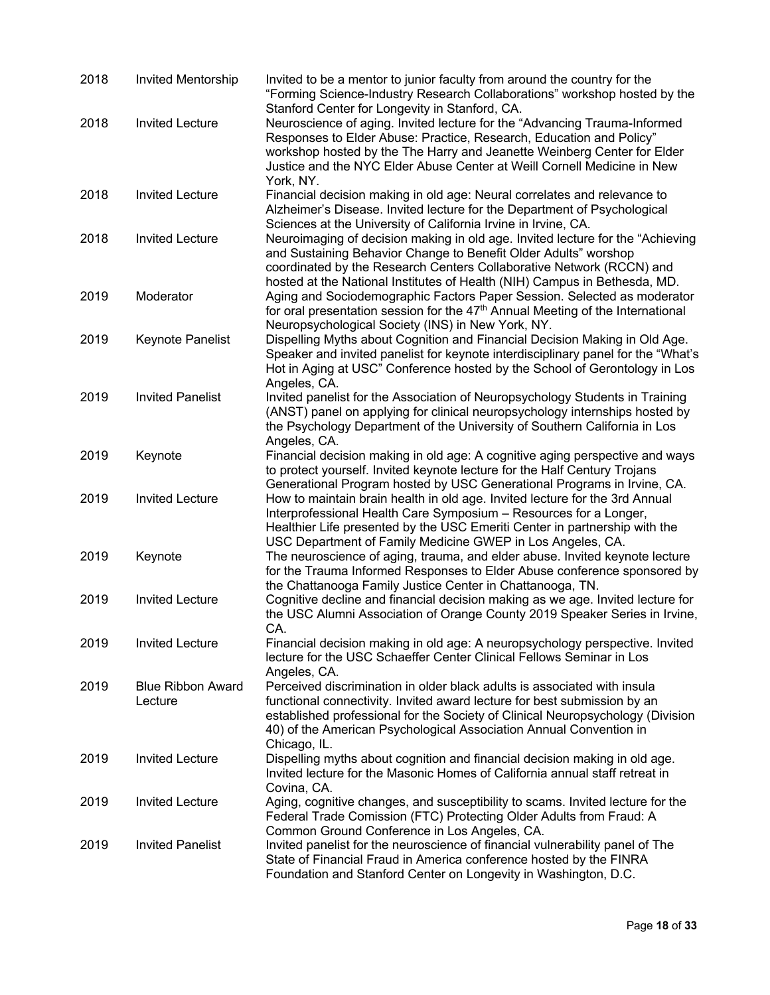| 2018 | Invited Mentorship                  | Invited to be a mentor to junior faculty from around the country for the<br>"Forming Science-Industry Research Collaborations" workshop hosted by the<br>Stanford Center for Longevity in Stanford, CA.                                                                                                                      |
|------|-------------------------------------|------------------------------------------------------------------------------------------------------------------------------------------------------------------------------------------------------------------------------------------------------------------------------------------------------------------------------|
| 2018 | <b>Invited Lecture</b>              | Neuroscience of aging. Invited lecture for the "Advancing Trauma-Informed<br>Responses to Elder Abuse: Practice, Research, Education and Policy"<br>workshop hosted by the The Harry and Jeanette Weinberg Center for Elder<br>Justice and the NYC Elder Abuse Center at Weill Cornell Medicine in New<br>York, NY.          |
| 2018 | <b>Invited Lecture</b>              | Financial decision making in old age: Neural correlates and relevance to<br>Alzheimer's Disease. Invited lecture for the Department of Psychological<br>Sciences at the University of California Irvine in Irvine, CA.                                                                                                       |
| 2018 | <b>Invited Lecture</b>              | Neuroimaging of decision making in old age. Invited lecture for the "Achieving<br>and Sustaining Behavior Change to Benefit Older Adults" worshop<br>coordinated by the Research Centers Collaborative Network (RCCN) and<br>hosted at the National Institutes of Health (NIH) Campus in Bethesda, MD.                       |
| 2019 | Moderator                           | Aging and Sociodemographic Factors Paper Session. Selected as moderator<br>for oral presentation session for the 47 <sup>th</sup> Annual Meeting of the International<br>Neuropsychological Society (INS) in New York, NY.                                                                                                   |
| 2019 | Keynote Panelist                    | Dispelling Myths about Cognition and Financial Decision Making in Old Age.<br>Speaker and invited panelist for keynote interdisciplinary panel for the "What's<br>Hot in Aging at USC" Conference hosted by the School of Gerontology in Los<br>Angeles, CA.                                                                 |
| 2019 | <b>Invited Panelist</b>             | Invited panelist for the Association of Neuropsychology Students in Training<br>(ANST) panel on applying for clinical neuropsychology internships hosted by<br>the Psychology Department of the University of Southern California in Los<br>Angeles, CA.                                                                     |
| 2019 | Keynote                             | Financial decision making in old age: A cognitive aging perspective and ways<br>to protect yourself. Invited keynote lecture for the Half Century Trojans<br>Generational Program hosted by USC Generational Programs in Irvine, CA.                                                                                         |
| 2019 | <b>Invited Lecture</b>              | How to maintain brain health in old age. Invited lecture for the 3rd Annual<br>Interprofessional Health Care Symposium - Resources for a Longer,<br>Healthier Life presented by the USC Emeriti Center in partnership with the<br>USC Department of Family Medicine GWEP in Los Angeles, CA.                                 |
| 2019 | Keynote                             | The neuroscience of aging, trauma, and elder abuse. Invited keynote lecture<br>for the Trauma Informed Responses to Elder Abuse conference sponsored by<br>the Chattanooga Family Justice Center in Chattanooga, TN.                                                                                                         |
| 2019 | <b>Invited Lecture</b>              | Cognitive decline and financial decision making as we age. Invited lecture for<br>the USC Alumni Association of Orange County 2019 Speaker Series in Irvine,<br>CA.                                                                                                                                                          |
| 2019 | <b>Invited Lecture</b>              | Financial decision making in old age: A neuropsychology perspective. Invited<br>lecture for the USC Schaeffer Center Clinical Fellows Seminar in Los<br>Angeles, CA.                                                                                                                                                         |
| 2019 | <b>Blue Ribbon Award</b><br>Lecture | Perceived discrimination in older black adults is associated with insula<br>functional connectivity. Invited award lecture for best submission by an<br>established professional for the Society of Clinical Neuropsychology (Division<br>40) of the American Psychological Association Annual Convention in<br>Chicago, IL. |
| 2019 | <b>Invited Lecture</b>              | Dispelling myths about cognition and financial decision making in old age.<br>Invited lecture for the Masonic Homes of California annual staff retreat in<br>Covina, CA.                                                                                                                                                     |
| 2019 | <b>Invited Lecture</b>              | Aging, cognitive changes, and susceptibility to scams. Invited lecture for the<br>Federal Trade Comission (FTC) Protecting Older Adults from Fraud: A<br>Common Ground Conference in Los Angeles, CA.                                                                                                                        |
| 2019 | <b>Invited Panelist</b>             | Invited panelist for the neuroscience of financial vulnerability panel of The<br>State of Financial Fraud in America conference hosted by the FINRA<br>Foundation and Stanford Center on Longevity in Washington, D.C.                                                                                                       |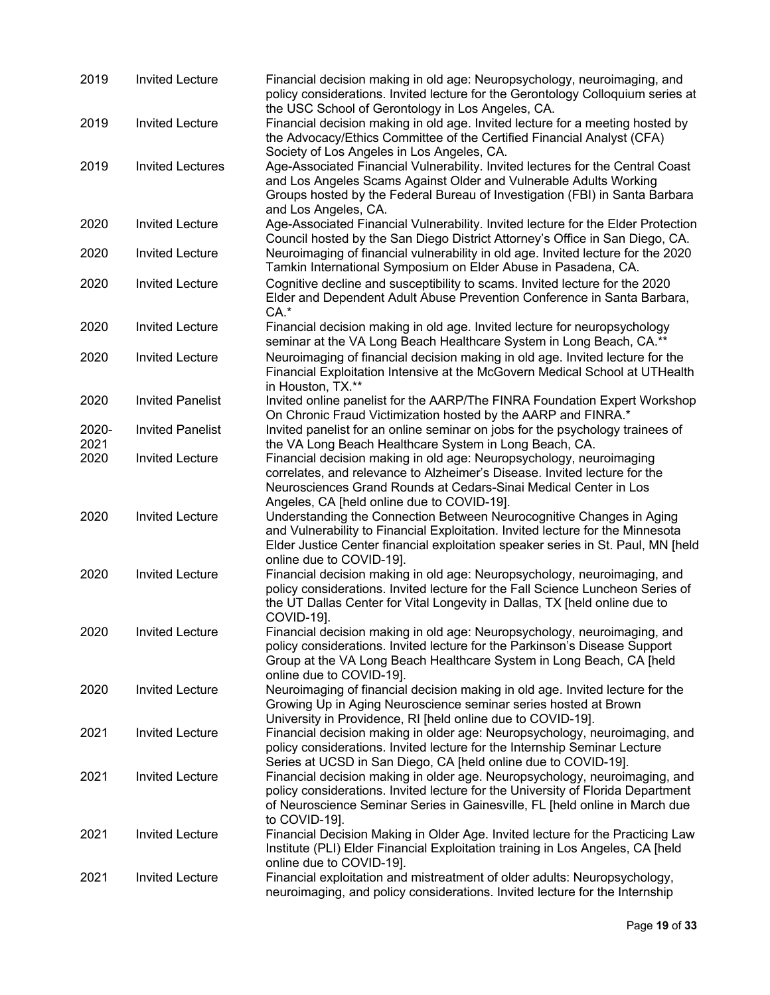| 2019          | <b>Invited Lecture</b>  | Financial decision making in old age: Neuropsychology, neuroimaging, and<br>policy considerations. Invited lecture for the Gerontology Colloquium series at<br>the USC School of Gerontology in Los Angeles, CA.                                                                                         |
|---------------|-------------------------|----------------------------------------------------------------------------------------------------------------------------------------------------------------------------------------------------------------------------------------------------------------------------------------------------------|
| 2019          | <b>Invited Lecture</b>  | Financial decision making in old age. Invited lecture for a meeting hosted by<br>the Advocacy/Ethics Committee of the Certified Financial Analyst (CFA)                                                                                                                                                  |
| 2019          | <b>Invited Lectures</b> | Society of Los Angeles in Los Angeles, CA.<br>Age-Associated Financial Vulnerability. Invited lectures for the Central Coast<br>and Los Angeles Scams Against Older and Vulnerable Adults Working<br>Groups hosted by the Federal Bureau of Investigation (FBI) in Santa Barbara<br>and Los Angeles, CA. |
| 2020          | <b>Invited Lecture</b>  | Age-Associated Financial Vulnerability. Invited lecture for the Elder Protection<br>Council hosted by the San Diego District Attorney's Office in San Diego, CA.                                                                                                                                         |
| 2020          | <b>Invited Lecture</b>  | Neuroimaging of financial vulnerability in old age. Invited lecture for the 2020<br>Tamkin International Symposium on Elder Abuse in Pasadena, CA.                                                                                                                                                       |
| 2020          | <b>Invited Lecture</b>  | Cognitive decline and susceptibility to scams. Invited lecture for the 2020<br>Elder and Dependent Adult Abuse Prevention Conference in Santa Barbara,<br>$CA.*$                                                                                                                                         |
| 2020          | <b>Invited Lecture</b>  | Financial decision making in old age. Invited lecture for neuropsychology<br>seminar at the VA Long Beach Healthcare System in Long Beach, CA.**                                                                                                                                                         |
| 2020          | <b>Invited Lecture</b>  | Neuroimaging of financial decision making in old age. Invited lecture for the<br>Financial Exploitation Intensive at the McGovern Medical School at UTHealth<br>in Houston, TX.**                                                                                                                        |
| 2020          | <b>Invited Panelist</b> | Invited online panelist for the AARP/The FINRA Foundation Expert Workshop<br>On Chronic Fraud Victimization hosted by the AARP and FINRA.*                                                                                                                                                               |
| 2020-<br>2021 | <b>Invited Panelist</b> | Invited panelist for an online seminar on jobs for the psychology trainees of<br>the VA Long Beach Healthcare System in Long Beach, CA.                                                                                                                                                                  |
| 2020          | <b>Invited Lecture</b>  | Financial decision making in old age: Neuropsychology, neuroimaging<br>correlates, and relevance to Alzheimer's Disease. Invited lecture for the<br>Neurosciences Grand Rounds at Cedars-Sinai Medical Center in Los<br>Angeles, CA [held online due to COVID-19].                                       |
| 2020          | <b>Invited Lecture</b>  | Understanding the Connection Between Neurocognitive Changes in Aging<br>and Vulnerability to Financial Exploitation. Invited lecture for the Minnesota<br>Elder Justice Center financial exploitation speaker series in St. Paul, MN [held<br>online due to COVID-19].                                   |
| 2020          | <b>Invited Lecture</b>  | Financial decision making in old age: Neuropsychology, neuroimaging, and<br>policy considerations. Invited lecture for the Fall Science Luncheon Series of<br>the UT Dallas Center for Vital Longevity in Dallas, TX [held online due to<br>COVID-19].                                                   |
| 2020          | <b>Invited Lecture</b>  | Financial decision making in old age: Neuropsychology, neuroimaging, and<br>policy considerations. Invited lecture for the Parkinson's Disease Support<br>Group at the VA Long Beach Healthcare System in Long Beach, CA [held<br>online due to COVID-191.                                               |
| 2020          | <b>Invited Lecture</b>  | Neuroimaging of financial decision making in old age. Invited lecture for the<br>Growing Up in Aging Neuroscience seminar series hosted at Brown<br>University in Providence, RI [held online due to COVID-19].                                                                                          |
| 2021          | <b>Invited Lecture</b>  | Financial decision making in older age: Neuropsychology, neuroimaging, and<br>policy considerations. Invited lecture for the Internship Seminar Lecture<br>Series at UCSD in San Diego, CA [held online due to COVID-19].                                                                                |
| 2021          | <b>Invited Lecture</b>  | Financial decision making in older age. Neuropsychology, neuroimaging, and<br>policy considerations. Invited lecture for the University of Florida Department<br>of Neuroscience Seminar Series in Gainesville, FL [held online in March due<br>to COVID-19].                                            |
| 2021          | <b>Invited Lecture</b>  | Financial Decision Making in Older Age. Invited lecture for the Practicing Law<br>Institute (PLI) Elder Financial Exploitation training in Los Angeles, CA [held<br>online due to COVID-19].                                                                                                             |
| 2021          | <b>Invited Lecture</b>  | Financial exploitation and mistreatment of older adults: Neuropsychology,<br>neuroimaging, and policy considerations. Invited lecture for the Internship                                                                                                                                                 |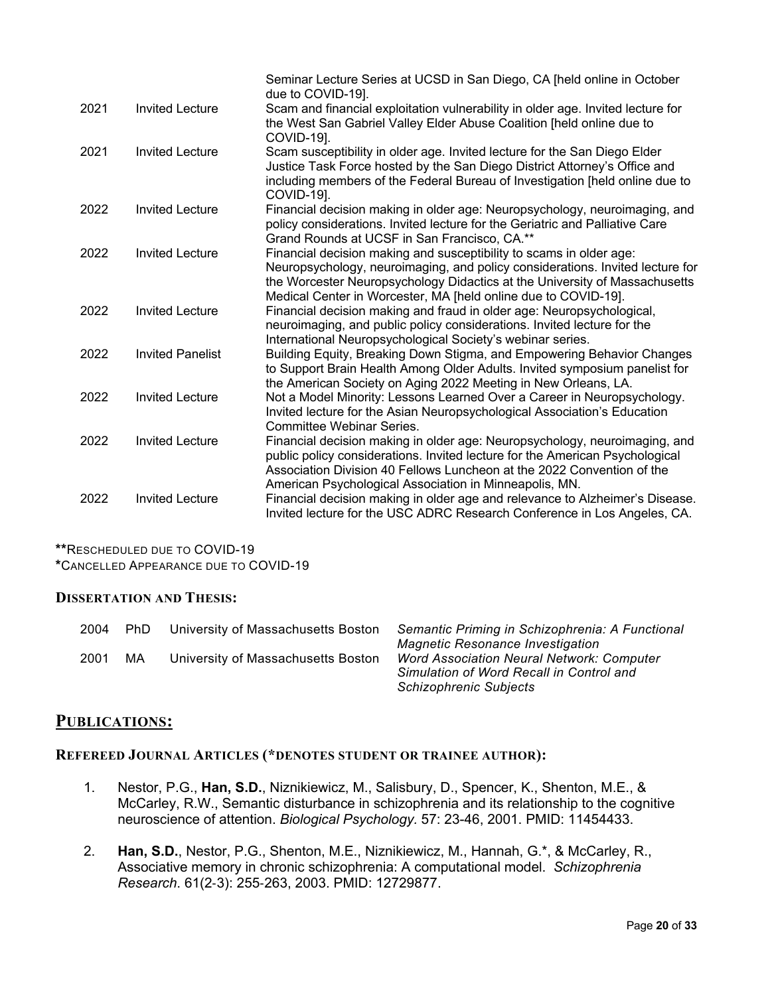|      |                         | Seminar Lecture Series at UCSD in San Diego, CA [held online in October<br>due to COVID-19].                                                                                                                                                                                                         |
|------|-------------------------|------------------------------------------------------------------------------------------------------------------------------------------------------------------------------------------------------------------------------------------------------------------------------------------------------|
| 2021 | <b>Invited Lecture</b>  | Scam and financial exploitation vulnerability in older age. Invited lecture for<br>the West San Gabriel Valley Elder Abuse Coalition [held online due to<br>COVID-19].                                                                                                                               |
| 2021 | <b>Invited Lecture</b>  | Scam susceptibility in older age. Invited lecture for the San Diego Elder<br>Justice Task Force hosted by the San Diego District Attorney's Office and<br>including members of the Federal Bureau of Investigation [held online due to<br>COVID-19].                                                 |
| 2022 | <b>Invited Lecture</b>  | Financial decision making in older age: Neuropsychology, neuroimaging, and<br>policy considerations. Invited lecture for the Geriatric and Palliative Care<br>Grand Rounds at UCSF in San Francisco, CA.**                                                                                           |
| 2022 | <b>Invited Lecture</b>  | Financial decision making and susceptibility to scams in older age:<br>Neuropsychology, neuroimaging, and policy considerations. Invited lecture for<br>the Worcester Neuropsychology Didactics at the University of Massachusetts<br>Medical Center in Worcester, MA [held online due to COVID-19]. |
| 2022 | <b>Invited Lecture</b>  | Financial decision making and fraud in older age: Neuropsychological,<br>neuroimaging, and public policy considerations. Invited lecture for the<br>International Neuropsychological Society's webinar series.                                                                                       |
| 2022 | <b>Invited Panelist</b> | Building Equity, Breaking Down Stigma, and Empowering Behavior Changes<br>to Support Brain Health Among Older Adults. Invited symposium panelist for<br>the American Society on Aging 2022 Meeting in New Orleans, LA.                                                                               |
| 2022 | <b>Invited Lecture</b>  | Not a Model Minority: Lessons Learned Over a Career in Neuropsychology.<br>Invited lecture for the Asian Neuropsychological Association's Education<br>Committee Webinar Series.                                                                                                                     |
| 2022 | <b>Invited Lecture</b>  | Financial decision making in older age: Neuropsychology, neuroimaging, and<br>public policy considerations. Invited lecture for the American Psychological<br>Association Division 40 Fellows Luncheon at the 2022 Convention of the<br>American Psychological Association in Minneapolis, MN.       |
| 2022 | <b>Invited Lecture</b>  | Financial decision making in older age and relevance to Alzheimer's Disease.<br>Invited lecture for the USC ADRC Research Conference in Los Angeles, CA.                                                                                                                                             |

**\*\***RESCHEDULED DUE TO COVID-19

**\***CANCELLED APPEARANCE DUE TO COVID-19

#### **DISSERTATION AND THESIS:**

| 2004<br>2001 | PhD.<br>МA | University of Massachusetts Boston<br>University of Massachusetts Boston | Semantic Priming in Schizophrenia: A Functional<br><b>Magnetic Resonance Investigation</b><br><b>Word Association Neural Network: Computer</b><br>Simulation of Word Recall in Control and |
|--------------|------------|--------------------------------------------------------------------------|--------------------------------------------------------------------------------------------------------------------------------------------------------------------------------------------|
|              |            |                                                                          | <b>Schizophrenic Subjects</b>                                                                                                                                                              |

### **PUBLICATIONS:**

### **REFEREED JOURNAL ARTICLES (\*DENOTES STUDENT OR TRAINEE AUTHOR):**

- 1. Nestor, P.G., **Han, S.D.**, Niznikiewicz, M., Salisbury, D., Spencer, K., Shenton, M.E., & McCarley, R.W., Semantic disturbance in schizophrenia and its relationship to the cognitive neuroscience of attention. *Biological Psychology.* 57: 23-46, 2001. PMID: 11454433.
- 2. **Han, S.D.**, Nestor, P.G., Shenton, M.E., Niznikiewicz, M., Hannah, G.\*, & McCarley, R., Associative memory in chronic schizophrenia: A computational model. *Schizophrenia Research*. 61(2-3): 255-263, 2003. PMID: 12729877.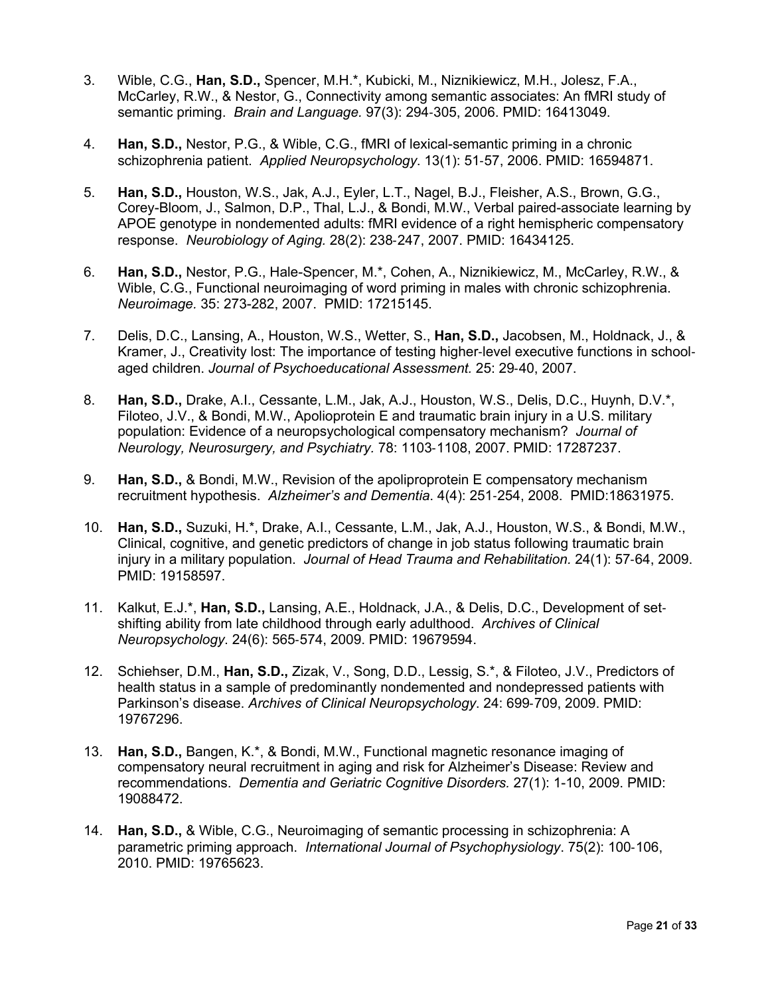- 3. Wible, C.G., **Han, S.D.,** Spencer, M.H.\*, Kubicki, M., Niznikiewicz, M.H., Jolesz, F.A., McCarley, R.W., & Nestor, G., Connectivity among semantic associates: An fMRI study of semantic priming. *Brain and Language.* 97(3): 294-305, 2006. PMID: 16413049.
- 4. **Han, S.D.,** Nestor, P.G., & Wible, C.G., fMRI of lexical-semantic priming in a chronic schizophrenia patient. *Applied Neuropsychology*. 13(1): 51-57, 2006. PMID: 16594871.
- 5. **Han, S.D.,** Houston, W.S., Jak, A.J., Eyler, L.T., Nagel, B.J., Fleisher, A.S., Brown, G.G., Corey-Bloom, J., Salmon, D.P., Thal, L.J., & Bondi, M.W., Verbal paired-associate learning by APOE genotype in nondemented adults: fMRI evidence of a right hemispheric compensatory response. *Neurobiology of Aging.* 28(2): 238-247, 2007. PMID: 16434125.
- 6. **Han, S.D.,** Nestor, P.G., Hale-Spencer, M.\*, Cohen, A., Niznikiewicz, M., McCarley, R.W., & Wible, C.G., Functional neuroimaging of word priming in males with chronic schizophrenia. *Neuroimage.* 35: 273-282, 2007. PMID: 17215145.
- 7. Delis, D.C., Lansing, A., Houston, W.S., Wetter, S., **Han, S.D.,** Jacobsen, M., Holdnack, J., & Kramer, J., Creativity lost: The importance of testing higher-level executive functions in schoolaged children. *Journal of Psychoeducational Assessment.* 25: 29-40, 2007.
- 8. **Han, S.D.,** Drake, A.I., Cessante, L.M., Jak, A.J., Houston, W.S., Delis, D.C., Huynh, D.V.\*, Filoteo, J.V., & Bondi, M.W., Apolioprotein E and traumatic brain injury in a U.S. military population: Evidence of a neuropsychological compensatory mechanism? *Journal of Neurology, Neurosurgery, and Psychiatry.* 78: 1103-1108, 2007. PMID: 17287237.
- 9. **Han, S.D.,** & Bondi, M.W., Revision of the apoliproprotein E compensatory mechanism recruitment hypothesis. *Alzheimer's and Dementia*. 4(4): 251-254, 2008. PMID:18631975.
- 10. **Han, S.D.,** Suzuki, H.\*, Drake, A.I., Cessante, L.M., Jak, A.J., Houston, W.S., & Bondi, M.W., Clinical, cognitive, and genetic predictors of change in job status following traumatic brain injury in a military population. *Journal of Head Trauma and Rehabilitation.* 24(1): 57-64, 2009. PMID: 19158597.
- 11. Kalkut, E.J.\*, **Han, S.D.,** Lansing, A.E., Holdnack, J.A., & Delis, D.C., Development of setshifting ability from late childhood through early adulthood. *Archives of Clinical Neuropsychology*. 24(6): 565-574, 2009. PMID: 19679594.
- 12. Schiehser, D.M., **Han, S.D.,** Zizak, V., Song, D.D., Lessig, S.\*, & Filoteo, J.V., Predictors of health status in a sample of predominantly nondemented and nondepressed patients with Parkinson's disease. *Archives of Clinical Neuropsychology*. 24: 699-709, 2009. PMID: 19767296.
- 13. **Han, S.D.,** Bangen, K.\*, & Bondi, M.W., Functional magnetic resonance imaging of compensatory neural recruitment in aging and risk for Alzheimer's Disease: Review and recommendations. *Dementia and Geriatric Cognitive Disorders.* 27(1): 1-10, 2009. PMID: 19088472.
- 14. **Han, S.D.,** & Wible, C.G., Neuroimaging of semantic processing in schizophrenia: A parametric priming approach. *International Journal of Psychophysiology*. 75(2): 100-106, 2010. PMID: 19765623.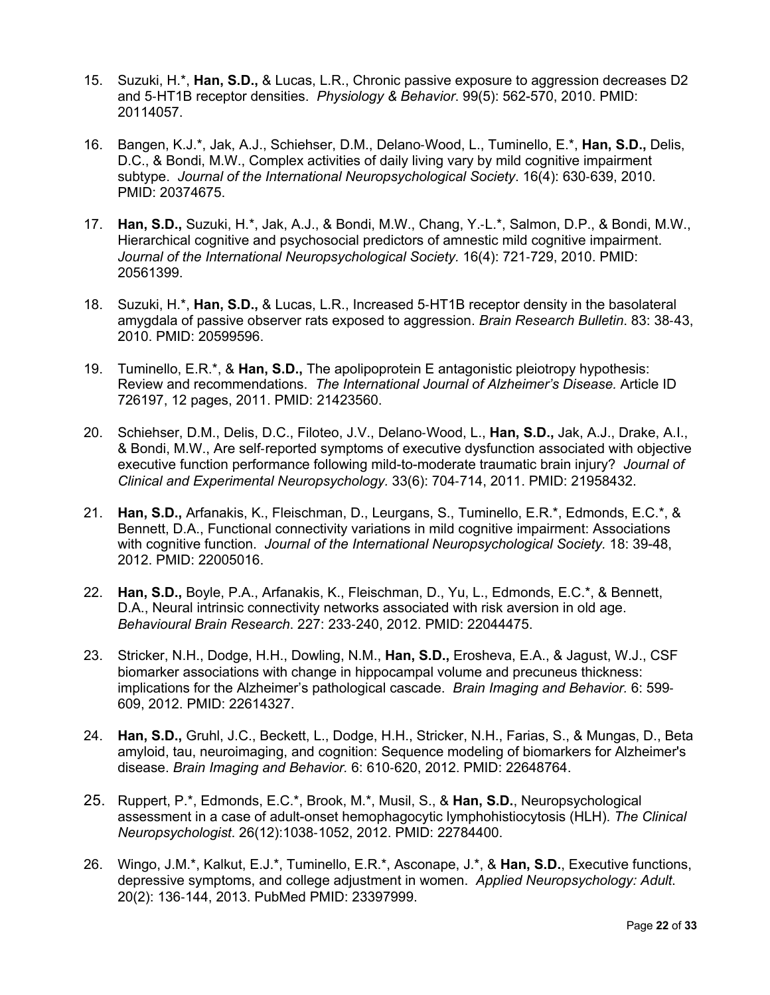- 15. Suzuki, H.\*, **Han, S.D.,** & Lucas, L.R., Chronic passive exposure to aggression decreases D2 and 5-HT1B receptor densities. *Physiology & Behavior*. 99(5): 562-570, 2010. PMID: 20114057.
- 16. Bangen, K.J.\*, Jak, A.J., Schiehser, D.M., Delano-Wood, L., Tuminello, E.\*, **Han, S.D.,** Delis, D.C., & Bondi, M.W., Complex activities of daily living vary by mild cognitive impairment subtype. *Journal of the International Neuropsychological Society*. 16(4): 630-639, 2010. PMID: 20374675.
- 17. **Han, S.D.,** Suzuki, H.\*, Jak, A.J., & Bondi, M.W., Chang, Y.-L.\*, Salmon, D.P., & Bondi, M.W., Hierarchical cognitive and psychosocial predictors of amnestic mild cognitive impairment. *Journal of the International Neuropsychological Society.* 16(4): 721-729, 2010. PMID: 20561399.
- 18. Suzuki, H.\*, **Han, S.D.,** & Lucas, L.R., Increased 5-HT1B receptor density in the basolateral amygdala of passive observer rats exposed to aggression. *Brain Research Bulletin*. 83: 38-43, 2010. PMID: 20599596.
- 19. Tuminello, E.R.\*, & **Han, S.D.,** The apolipoprotein E antagonistic pleiotropy hypothesis: Review and recommendations. *The International Journal of Alzheimer's Disease.* Article ID 726197, 12 pages, 2011. PMID: 21423560.
- 20. Schiehser, D.M., Delis, D.C., Filoteo, J.V., Delano-Wood, L., **Han, S.D.,** Jak, A.J., Drake, A.I., & Bondi, M.W., Are self-reported symptoms of executive dysfunction associated with objective executive function performance following mild-to-moderate traumatic brain injury? *Journal of Clinical and Experimental Neuropsychology.* 33(6): 704-714, 2011. PMID: 21958432.
- 21. **Han, S.D.,** Arfanakis, K., Fleischman, D., Leurgans, S., Tuminello, E.R.\*, Edmonds, E.C.\*, & Bennett, D.A., Functional connectivity variations in mild cognitive impairment: Associations with cognitive function. *Journal of the International Neuropsychological Society.* 18: 39-48, 2012. PMID: 22005016.
- 22. **Han, S.D.,** Boyle, P.A., Arfanakis, K., Fleischman, D., Yu, L., Edmonds, E.C.\*, & Bennett, D.A., Neural intrinsic connectivity networks associated with risk aversion in old age. *Behavioural Brain Research*. 227: 233-240, 2012. PMID: 22044475.
- 23. Stricker, N.H., Dodge, H.H., Dowling, N.M., **Han, S.D.,** Erosheva, E.A., & Jagust, W.J., CSF biomarker associations with change in hippocampal volume and precuneus thickness: implications for the Alzheimer's pathological cascade. *Brain Imaging and Behavior.* 6: 599- 609, 2012. PMID: 22614327.
- 24. **Han, S.D.,** Gruhl, J.C., Beckett, L., Dodge, H.H., Stricker, N.H., Farias, S., & Mungas, D., Beta amyloid, tau, neuroimaging, and cognition: Sequence modeling of biomarkers for Alzheimer's disease. *Brain Imaging and Behavior.* 6: 610-620, 2012. PMID: 22648764.
- 25. Ruppert, P.\*, Edmonds, E.C.\*, Brook, M.\*, Musil, S., & **Han, S.D.**, Neuropsychological assessment in a case of adult-onset hemophagocytic lymphohistiocytosis (HLH). *The Clinical Neuropsychologist*. 26(12):1038-1052, 2012. PMID: 22784400.
- 26. Wingo, J.M.\*, Kalkut, E.J.\*, Tuminello, E.R.\*, Asconape, J.\*, & **Han, S.D.**, Executive functions, depressive symptoms, and college adjustment in women. *Applied Neuropsychology: Adult*. 20(2): 136-144, 2013. PubMed PMID: 23397999.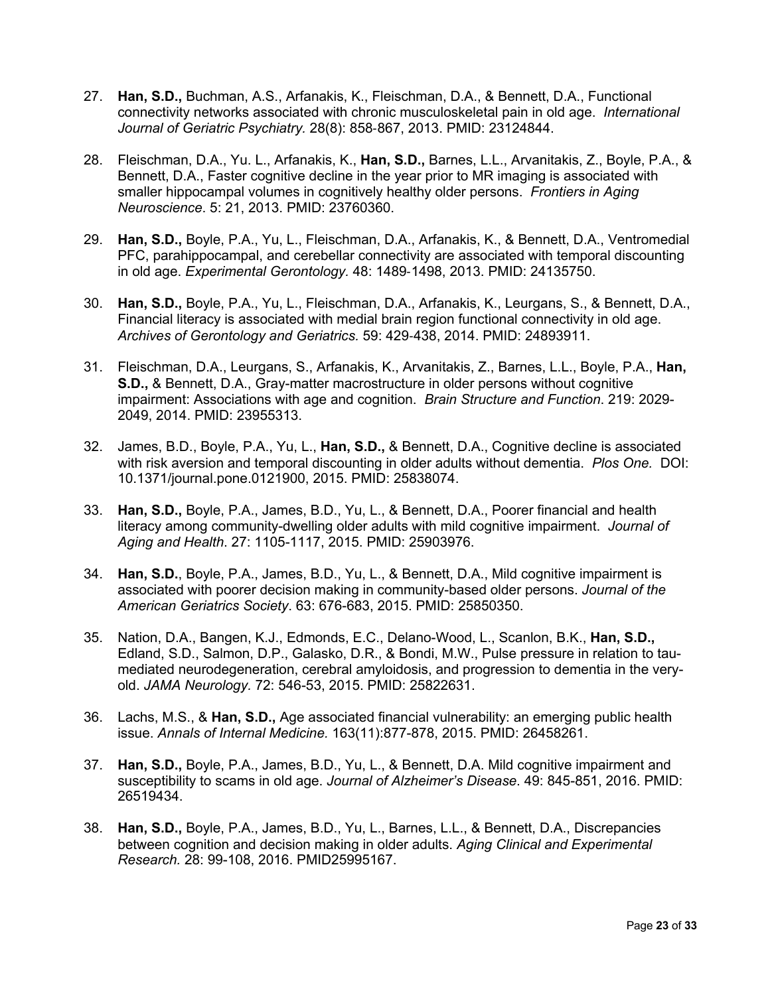- 27. **Han, S.D.,** Buchman, A.S., Arfanakis, K., Fleischman, D.A., & Bennett, D.A., Functional connectivity networks associated with chronic musculoskeletal pain in old age. *International Journal of Geriatric Psychiatry.* 28(8): 858-867, 2013. PMID: 23124844.
- 28. Fleischman, D.A., Yu. L., Arfanakis, K., **Han, S.D.,** Barnes, L.L., Arvanitakis, Z., Boyle, P.A., & Bennett, D.A., Faster cognitive decline in the year prior to MR imaging is associated with smaller hippocampal volumes in cognitively healthy older persons. *Frontiers in Aging Neuroscience*. 5: 21, 2013. PMID: 23760360.
- 29. **Han, S.D.,** Boyle, P.A., Yu, L., Fleischman, D.A., Arfanakis, K., & Bennett, D.A., Ventromedial PFC, parahippocampal, and cerebellar connectivity are associated with temporal discounting in old age. *Experimental Gerontology.* 48: 1489-1498, 2013. PMID: 24135750.
- 30. **Han, S.D.,** Boyle, P.A., Yu, L., Fleischman, D.A., Arfanakis, K., Leurgans, S., & Bennett, D.A., Financial literacy is associated with medial brain region functional connectivity in old age. *Archives of Gerontology and Geriatrics.* 59: 429-438, 2014. PMID: 24893911.
- 31. Fleischman, D.A., Leurgans, S., Arfanakis, K., Arvanitakis, Z., Barnes, L.L., Boyle, P.A., **Han, S.D.,** & Bennett, D.A., Gray-matter macrostructure in older persons without cognitive impairment: Associations with age and cognition. *Brain Structure and Function*. 219: 2029- 2049, 2014. PMID: 23955313.
- 32. James, B.D., Boyle, P.A., Yu, L., **Han, S.D.,** & Bennett, D.A., Cognitive decline is associated with risk aversion and temporal discounting in older adults without dementia. *Plos One.* DOI: 10.1371/journal.pone.0121900, 2015. PMID: 25838074.
- 33. **Han, S.D.,** Boyle, P.A., James, B.D., Yu, L., & Bennett, D.A., Poorer financial and health literacy among community-dwelling older adults with mild cognitive impairment. *Journal of Aging and Health*. 27: 1105-1117, 2015. PMID: 25903976.
- 34. **Han, S.D.**, Boyle, P.A., James, B.D., Yu, L., & Bennett, D.A., Mild cognitive impairment is associated with poorer decision making in community-based older persons. *Journal of the American Geriatrics Society*. 63: 676-683, 2015. PMID: 25850350.
- 35. Nation, D.A., Bangen, K.J., Edmonds, E.C., Delano-Wood, L., Scanlon, B.K., **Han, S.D.,** Edland, S.D., Salmon, D.P., Galasko, D.R., & Bondi, M.W., Pulse pressure in relation to taumediated neurodegeneration, cerebral amyloidosis, and progression to dementia in the veryold. *JAMA Neurology.* 72: 546-53, 2015. PMID: 25822631.
- 36. Lachs, M.S., & **Han, S.D.,** Age associated financial vulnerability: an emerging public health issue. *Annals of Internal Medicine.* 163(11):877-878, 2015. PMID: 26458261.
- 37. **Han, S.D.,** Boyle, P.A., James, B.D., Yu, L., & Bennett, D.A. Mild cognitive impairment and susceptibility to scams in old age. *Journal of Alzheimer's Disease*. 49: 845-851, 2016. PMID: 26519434.
- 38. **Han, S.D.,** Boyle, P.A., James, B.D., Yu, L., Barnes, L.L., & Bennett, D.A., Discrepancies between cognition and decision making in older adults. *Aging Clinical and Experimental Research.* 28: 99-108, 2016. PMID25995167.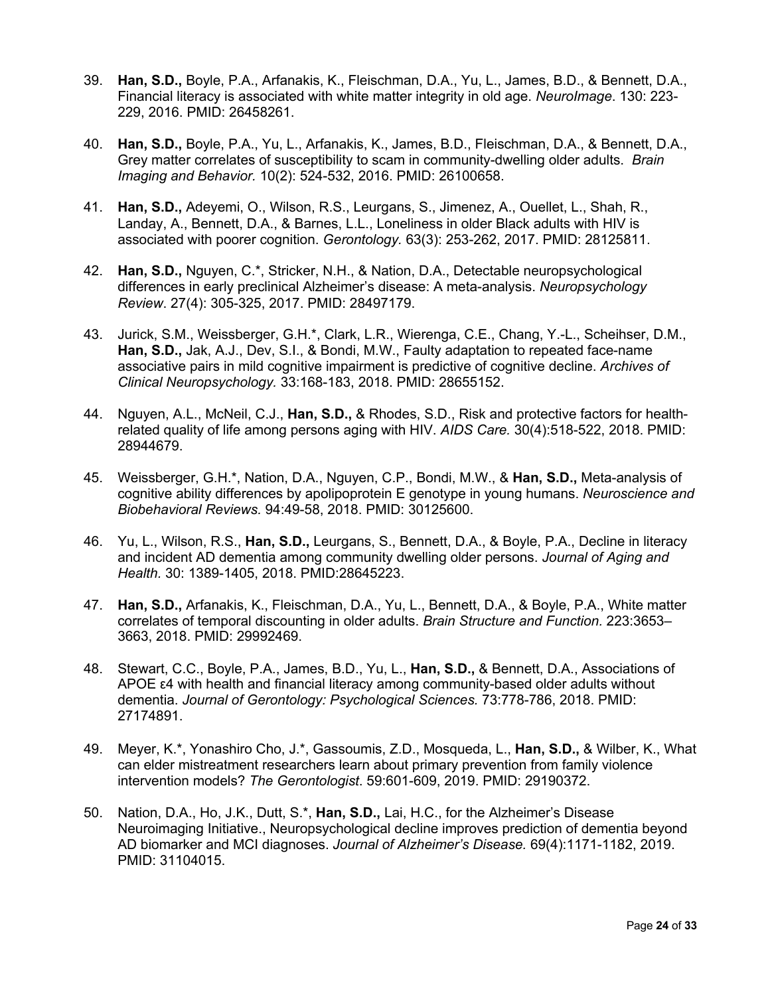- 39. **Han, S.D.,** Boyle, P.A., Arfanakis, K., Fleischman, D.A., Yu, L., James, B.D., & Bennett, D.A., Financial literacy is associated with white matter integrity in old age. *NeuroImage*. 130: 223- 229, 2016. PMID: 26458261.
- 40. **Han, S.D.,** Boyle, P.A., Yu, L., Arfanakis, K., James, B.D., Fleischman, D.A., & Bennett, D.A., Grey matter correlates of susceptibility to scam in community-dwelling older adults. *Brain Imaging and Behavior.* 10(2): 524-532, 2016. PMID: 26100658.
- 41. **Han, S.D.,** Adeyemi, O., Wilson, R.S., Leurgans, S., Jimenez, A., Ouellet, L., Shah, R., Landay, A., Bennett, D.A., & Barnes, L.L., Loneliness in older Black adults with HIV is associated with poorer cognition. *Gerontology.* 63(3): 253-262, 2017. PMID: 28125811.
- 42. **Han, S.D.,** Nguyen, C.\*, Stricker, N.H., & Nation, D.A., Detectable neuropsychological differences in early preclinical Alzheimer's disease: A meta-analysis. *Neuropsychology Review*. 27(4): 305-325, 2017. PMID: 28497179.
- 43. Jurick, S.M., Weissberger, G.H.\*, Clark, L.R., Wierenga, C.E., Chang, Y.-L., Scheihser, D.M., **Han, S.D.,** Jak, A.J., Dev, S.I., & Bondi, M.W., Faulty adaptation to repeated face-name associative pairs in mild cognitive impairment is predictive of cognitive decline. *Archives of Clinical Neuropsychology.* 33:168-183, 2018. PMID: 28655152.
- 44. Nguyen, A.L., McNeil, C.J., **Han, S.D.,** & Rhodes, S.D., Risk and protective factors for healthrelated quality of life among persons aging with HIV. *AIDS Care.* 30(4):518-522, 2018. PMID: 28944679.
- 45. Weissberger, G.H.\*, Nation, D.A., Nguyen, C.P., Bondi, M.W., & **Han, S.D.,** Meta-analysis of cognitive ability differences by apolipoprotein E genotype in young humans. *Neuroscience and Biobehavioral Reviews.* 94:49-58, 2018. PMID: 30125600.
- 46. Yu, L., Wilson, R.S., **Han, S.D.,** Leurgans, S., Bennett, D.A., & Boyle, P.A., Decline in literacy and incident AD dementia among community dwelling older persons. *Journal of Aging and Health.* 30: 1389-1405, 2018. PMID:28645223.
- 47. **Han, S.D.,** Arfanakis, K., Fleischman, D.A., Yu, L., Bennett, D.A., & Boyle, P.A., White matter correlates of temporal discounting in older adults. *Brain Structure and Function.* 223:3653– 3663, 2018. PMID: 29992469.
- 48. Stewart, C.C., Boyle, P.A., James, B.D., Yu, L., **Han, S.D.,** & Bennett, D.A., Associations of APOE ε4 with health and financial literacy among community-based older adults without dementia. *Journal of Gerontology: Psychological Sciences.* 73:778-786, 2018. PMID: 27174891.
- 49. Meyer, K.\*, Yonashiro Cho, J.\*, Gassoumis, Z.D., Mosqueda, L., **Han, S.D.,** & Wilber, K., What can elder mistreatment researchers learn about primary prevention from family violence intervention models? *The Gerontologist*. 59:601-609, 2019. PMID: 29190372.
- 50. Nation, D.A., Ho, J.K., Dutt, S.\*, **Han, S.D.,** Lai, H.C., for the Alzheimer's Disease Neuroimaging Initiative., Neuropsychological decline improves prediction of dementia beyond AD biomarker and MCI diagnoses. *Journal of Alzheimer's Disease.* 69(4):1171-1182, 2019. PMID: 31104015.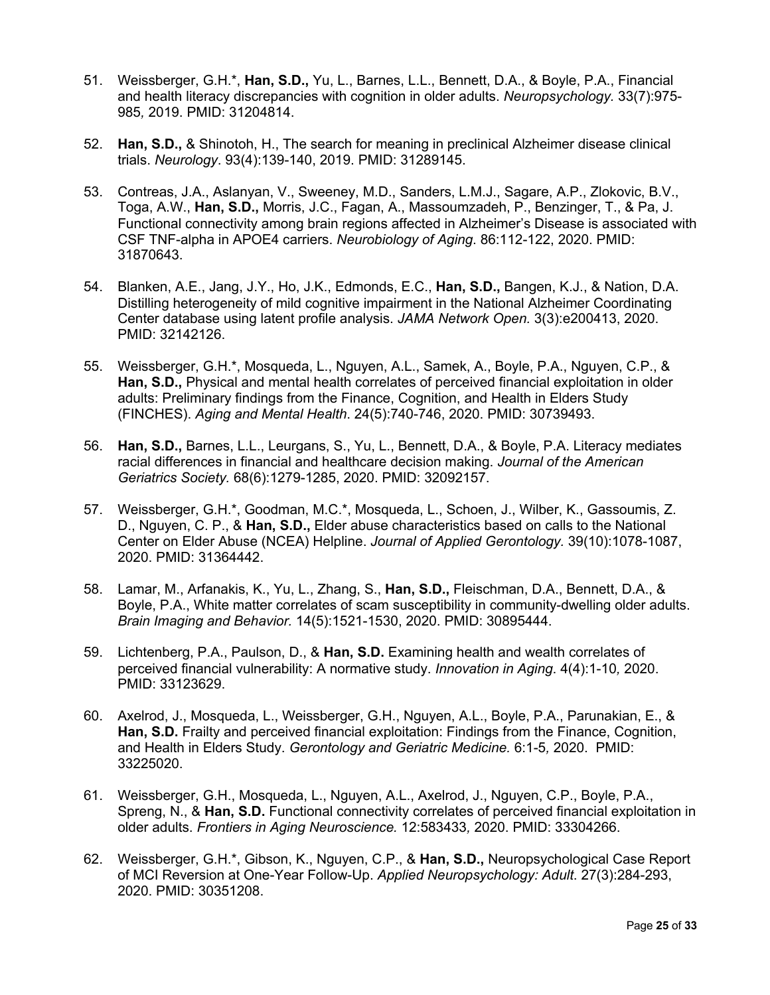- 51. Weissberger, G.H.\*, **Han, S.D.,** Yu, L., Barnes, L.L., Bennett, D.A., & Boyle, P.A., Financial and health literacy discrepancies with cognition in older adults. *Neuropsychology.* 33(7):975- 985*,* 2019. PMID: 31204814.
- 52. **Han, S.D.,** & Shinotoh, H., The search for meaning in preclinical Alzheimer disease clinical trials. *Neurology*. 93(4):139-140, 2019. PMID: 31289145.
- 53. Contreas, J.A., Aslanyan, V., Sweeney, M.D., Sanders, L.M.J., Sagare, A.P., Zlokovic, B.V., Toga, A.W., **Han, S.D.,** Morris, J.C., Fagan, A., Massoumzadeh, P., Benzinger, T., & Pa, J. Functional connectivity among brain regions affected in Alzheimer's Disease is associated with CSF TNF-alpha in APOE4 carriers. *Neurobiology of Aging*. 86:112-122, 2020. PMID: 31870643.
- 54. Blanken, A.E., Jang, J.Y., Ho, J.K., Edmonds, E.C., **Han, S.D.,** Bangen, K.J., & Nation, D.A. Distilling heterogeneity of mild cognitive impairment in the National Alzheimer Coordinating Center database using latent profile analysis. *JAMA Network Open.* 3(3):e200413, 2020. PMID: 32142126.
- 55. Weissberger, G.H.\*, Mosqueda, L., Nguyen, A.L., Samek, A., Boyle, P.A., Nguyen, C.P., & **Han, S.D.,** Physical and mental health correlates of perceived financial exploitation in older adults: Preliminary findings from the Finance, Cognition, and Health in Elders Study (FINCHES). *Aging and Mental Health*. 24(5):740-746, 2020. PMID: 30739493.
- 56. **Han, S.D.,** Barnes, L.L., Leurgans, S., Yu, L., Bennett, D.A., & Boyle, P.A. Literacy mediates racial differences in financial and healthcare decision making. *Journal of the American Geriatrics Society.* 68(6):1279-1285, 2020. PMID: 32092157.
- 57. Weissberger, G.H.\*, Goodman, M.C.\*, Mosqueda, L., Schoen, J., Wilber, K., Gassoumis, Z. D., Nguyen, C. P., & **Han, S.D.,** Elder abuse characteristics based on calls to the National Center on Elder Abuse (NCEA) Helpline. *Journal of Applied Gerontology.* 39(10):1078-1087, 2020. PMID: 31364442.
- 58. Lamar, M., Arfanakis, K., Yu, L., Zhang, S., **Han, S.D.,** Fleischman, D.A., Bennett, D.A., & Boyle, P.A., White matter correlates of scam susceptibility in community-dwelling older adults. *Brain Imaging and Behavior.* 14(5):1521-1530, 2020. PMID: 30895444.
- 59. Lichtenberg, P.A., Paulson, D., & **Han, S.D.** Examining health and wealth correlates of perceived financial vulnerability: A normative study. *Innovation in Aging*. 4(4):1-10*,* 2020. PMID: 33123629.
- 60. Axelrod, J., Mosqueda, L., Weissberger, G.H., Nguyen, A.L., Boyle, P.A., Parunakian, E., & **Han, S.D.** Frailty and perceived financial exploitation: Findings from the Finance, Cognition, and Health in Elders Study. *Gerontology and Geriatric Medicine.* 6:1-5*,* 2020. PMID: 33225020.
- 61. Weissberger, G.H., Mosqueda, L., Nguyen, A.L., Axelrod, J., Nguyen, C.P., Boyle, P.A., Spreng, N., & **Han, S.D.** Functional connectivity correlates of perceived financial exploitation in older adults. *Frontiers in Aging Neuroscience.* 12:583433*,* 2020. PMID: 33304266.
- 62. Weissberger, G.H.\*, Gibson, K., Nguyen, C.P., & **Han, S.D.,** Neuropsychological Case Report of MCI Reversion at One-Year Follow-Up. *Applied Neuropsychology: Adult*. 27(3):284-293, 2020. PMID: 30351208.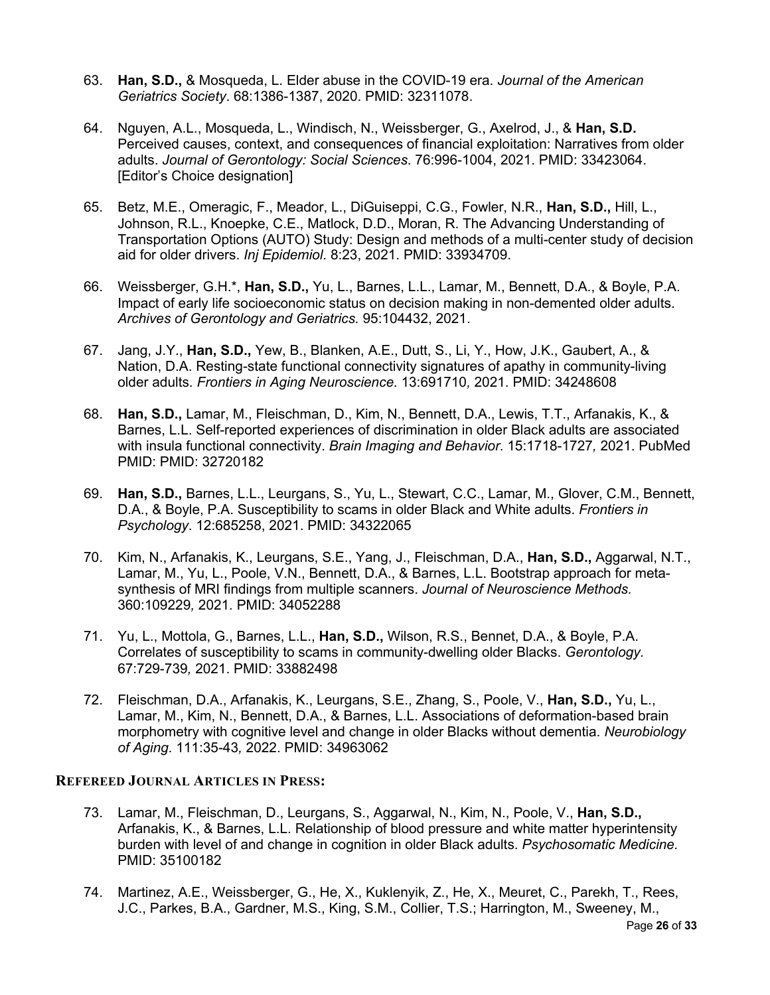- 63. **Han, S.D.,** & Mosqueda, L. Elder abuse in the COVID-19 era. *Journal of the American Geriatrics Society*. 68:1386-1387, 2020. PMID: 32311078.
- 64. Nguyen, A.L., Mosqueda, L., Windisch, N., Weissberger, G., Axelrod, J., & **Han, S.D.** Perceived causes, context, and consequences of financial exploitation: Narratives from older adults. *Journal of Gerontology: Social Sciences*. 76:996-1004, 2021. PMID: 33423064. [Editor's Choice designation]
- 65. Betz, M.E., Omeragic, F., Meador, L., DiGuiseppi, C.G., Fowler, N.R., **Han, S.D.,** Hill, L., Johnson, R.L., Knoepke, C.E., Matlock, D.D., Moran, R. The Advancing Understanding of Transportation Options (AUTO) Study: Design and methods of a multi-center study of decision aid for older drivers. *Inj Epidemiol*. 8:23, 2021. PMID: 33934709.
- 66. Weissberger, G.H.\*, **Han, S.D.,** Yu, L., Barnes, L.L., Lamar, M., Bennett, D.A., & Boyle, P.A. Impact of early life socioeconomic status on decision making in non-demented older adults. *Archives of Gerontology and Geriatrics.* 95:104432, 2021.
- 67. Jang, J.Y., **Han, S.D.,** Yew, B., Blanken, A.E., Dutt, S., Li, Y., How, J.K., Gaubert, A., & Nation, D.A. Resting-state functional connectivity signatures of apathy in community-living older adults. *Frontiers in Aging Neuroscience*. 13:691710*,* 2021. PMID: 34248608
- 68. **Han, S.D.,** Lamar, M., Fleischman, D., Kim, N., Bennett, D.A., Lewis, T.T., Arfanakis, K., & Barnes, L.L. Self-reported experiences of discrimination in older Black adults are associated with insula functional connectivity. *Brain Imaging and Behavior*. 15:1718-1727*,* 2021. PubMed PMID: PMID: 32720182
- 69. **Han, S.D.,** Barnes, L.L., Leurgans, S., Yu, L., Stewart, C.C., Lamar, M., Glover, C.M., Bennett, D.A., & Boyle, P.A. Susceptibility to scams in older Black and White adults. *Frontiers in Psychology*. 12:685258, 2021. PMID: 34322065
- 70. Kim, N., Arfanakis, K., Leurgans, S.E., Yang, J., Fleischman, D.A., **Han, S.D.,** Aggarwal, N.T., Lamar, M., Yu, L., Poole, V.N., Bennett, D.A., & Barnes, L.L. Bootstrap approach for metasynthesis of MRI findings from multiple scanners. *Journal of Neuroscience Methods.*  360:109229*,* 2021*.* PMID: 34052288
- 71. Yu, L., Mottola, G., Barnes, L.L., **Han, S.D.,** Wilson, R.S., Bennet, D.A., & Boyle, P.A. Correlates of susceptibility to scams in community-dwelling older Blacks. *Gerontology.* 67:729-739*,* 2021. PMID: 33882498
- 72. Fleischman, D.A., Arfanakis, K., Leurgans, S.E., Zhang, S., Poole, V., **Han, S.D.,** Yu, L., Lamar, M., Kim, N., Bennett, D.A., & Barnes, L.L. Associations of deformation-based brain morphometry with cognitive level and change in older Blacks without dementia. *Neurobiology of Aging*. 111:35-43*,* 2022. PMID: 34963062

### **REFEREED JOURNAL ARTICLES IN PRESS:**

- 73. Lamar, M., Fleischman, D., Leurgans, S., Aggarwal, N., Kim, N., Poole, V., **Han, S.D.,** Arfanakis, K., & Barnes, L.L. Relationship of blood pressure and white matter hyperintensity burden with level of and change in cognition in older Black adults. *Psychosomatic Medicine.* PMID: 35100182
- 74. Martinez, A.E., Weissberger, G., He, X., Kuklenyik, Z., He, X., Meuret, C., Parekh, T., Rees, J.C., Parkes, B.A., Gardner, M.S., King, S.M., Collier, T.S.; Harrington, M., Sweeney, M.,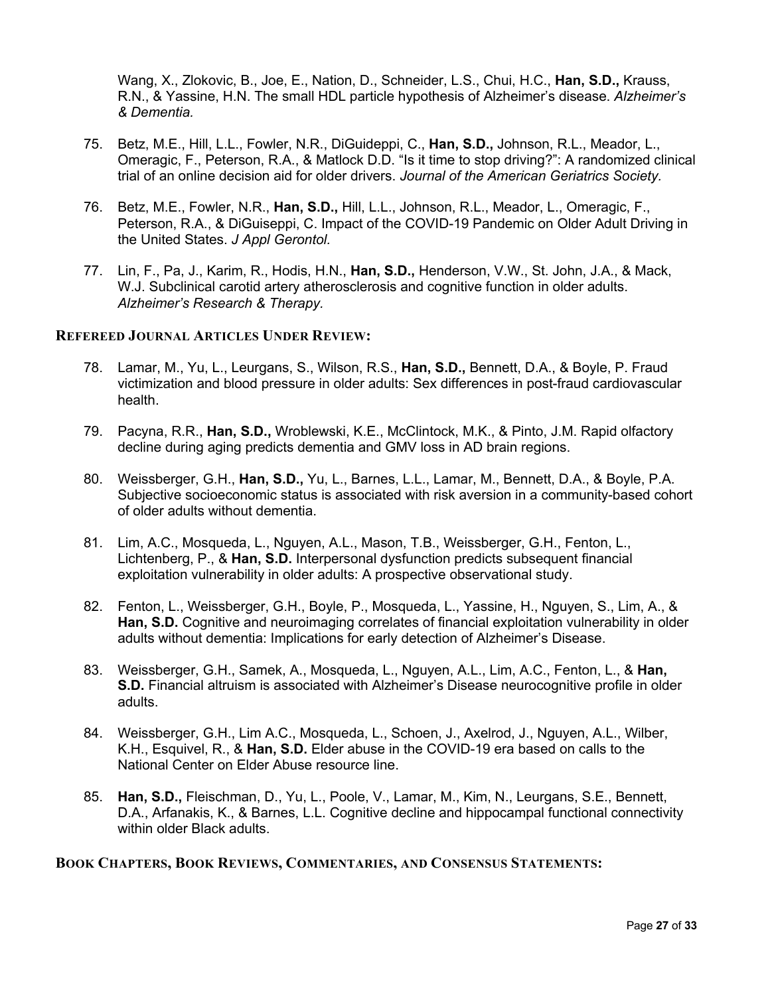Wang, X., Zlokovic, B., Joe, E., Nation, D., Schneider, L.S., Chui, H.C., **Han, S.D.,** Krauss, R.N., & Yassine, H.N. The small HDL particle hypothesis of Alzheimer's disease. *Alzheimer's & Dementia.*

- 75. Betz, M.E., Hill, L.L., Fowler, N.R., DiGuideppi, C., **Han, S.D.,** Johnson, R.L., Meador, L., Omeragic, F., Peterson, R.A., & Matlock D.D. "Is it time to stop driving?": A randomized clinical trial of an online decision aid for older drivers. *Journal of the American Geriatrics Society.*
- 76. Betz, M.E., Fowler, N.R., **Han, S.D.,** Hill, L.L., Johnson, R.L., Meador, L., Omeragic, F., Peterson, R.A., & DiGuiseppi, C. Impact of the COVID-19 Pandemic on Older Adult Driving in the United States. *J Appl Gerontol.*
- 77. Lin, F., Pa, J., Karim, R., Hodis, H.N., **Han, S.D.,** Henderson, V.W., St. John, J.A., & Mack, W.J. Subclinical carotid artery atherosclerosis and cognitive function in older adults. *Alzheimer's Research & Therapy.*

#### **REFEREED JOURNAL ARTICLES UNDER REVIEW:**

- 78. Lamar, M., Yu, L., Leurgans, S., Wilson, R.S., **Han, S.D.,** Bennett, D.A., & Boyle, P. Fraud victimization and blood pressure in older adults: Sex differences in post-fraud cardiovascular health.
- 79. Pacyna, R.R., **Han, S.D.,** Wroblewski, K.E., McClintock, M.K., & Pinto, J.M. Rapid olfactory decline during aging predicts dementia and GMV loss in AD brain regions.
- 80. Weissberger, G.H., **Han, S.D.,** Yu, L., Barnes, L.L., Lamar, M., Bennett, D.A., & Boyle, P.A. Subjective socioeconomic status is associated with risk aversion in a community-based cohort of older adults without dementia.
- 81. Lim, A.C., Mosqueda, L., Nguyen, A.L., Mason, T.B., Weissberger, G.H., Fenton, L., Lichtenberg, P., & **Han, S.D.** Interpersonal dysfunction predicts subsequent financial exploitation vulnerability in older adults: A prospective observational study.
- 82. Fenton, L., Weissberger, G.H., Boyle, P., Mosqueda, L., Yassine, H., Nguyen, S., Lim, A., & **Han, S.D.** Cognitive and neuroimaging correlates of financial exploitation vulnerability in older adults without dementia: Implications for early detection of Alzheimer's Disease.
- 83. Weissberger, G.H., Samek, A., Mosqueda, L., Nguyen, A.L., Lim, A.C., Fenton, L., & **Han, S.D.** Financial altruism is associated with Alzheimer's Disease neurocognitive profile in older adults.
- 84. Weissberger, G.H., Lim A.C., Mosqueda, L., Schoen, J., Axelrod, J., Nguyen, A.L., Wilber, K.H., Esquivel, R., & **Han, S.D.** Elder abuse in the COVID-19 era based on calls to the National Center on Elder Abuse resource line.
- 85. **Han, S.D.,** Fleischman, D., Yu, L., Poole, V., Lamar, M., Kim, N., Leurgans, S.E., Bennett, D.A., Arfanakis, K., & Barnes, L.L. Cognitive decline and hippocampal functional connectivity within older Black adults.

#### **BOOK CHAPTERS, BOOK REVIEWS, COMMENTARIES, AND CONSENSUS STATEMENTS:**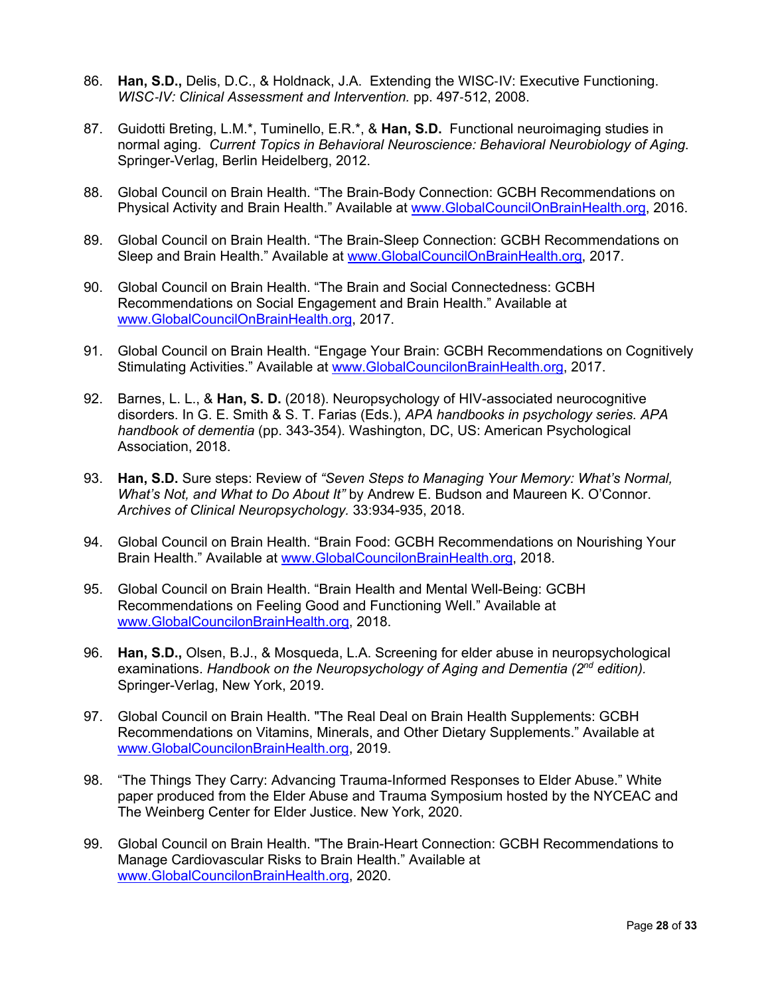- 86. **Han, S.D.,** Delis, D.C., & Holdnack, J.A. Extending the WISC-IV: Executive Functioning. *WISC*-*IV: Clinical Assessment and Intervention.* pp. 497-512, 2008.
- 87. Guidotti Breting, L.M.\*, Tuminello, E.R.\*, & **Han, S.D.** Functional neuroimaging studies in normal aging. *Current Topics in Behavioral Neuroscience: Behavioral Neurobiology of Aging*. Springer-Verlag, Berlin Heidelberg, 2012.
- 88. Global Council on Brain Health. "The Brain-Body Connection: GCBH Recommendations on Physical Activity and Brain Health." Available at www.GlobalCouncilOnBrainHealth.org, 2016.
- 89. Global Council on Brain Health. "The Brain-Sleep Connection: GCBH Recommendations on Sleep and Brain Health." Available at www.GlobalCouncilOnBrainHealth.org, 2017.
- 90. Global Council on Brain Health. "The Brain and Social Connectedness: GCBH Recommendations on Social Engagement and Brain Health." Available at www.GlobalCouncilOnBrainHealth.org, 2017.
- 91. Global Council on Brain Health. "Engage Your Brain: GCBH Recommendations on Cognitively Stimulating Activities." Available at www.GlobalCouncilonBrainHealth.org, 2017.
- 92. Barnes, L. L., & **Han, S. D.** (2018). Neuropsychology of HIV-associated neurocognitive disorders. In G. E. Smith & S. T. Farias (Eds.), *APA handbooks in psychology series. APA handbook of dementia* (pp. 343-354). Washington, DC, US: American Psychological Association, 2018.
- 93. **Han, S.D.** Sure steps: Review of *"Seven Steps to Managing Your Memory: What's Normal, What's Not, and What to Do About It"* by Andrew E. Budson and Maureen K. O'Connor. *Archives of Clinical Neuropsychology.* 33:934-935, 2018.
- 94. Global Council on Brain Health. "Brain Food: GCBH Recommendations on Nourishing Your Brain Health." Available at www.GlobalCouncilonBrainHealth.org, 2018.
- 95. Global Council on Brain Health. "Brain Health and Mental Well-Being: GCBH Recommendations on Feeling Good and Functioning Well." Available at www.GlobalCouncilonBrainHealth.org, 2018.
- 96. **Han, S.D.,** Olsen, B.J., & Mosqueda, L.A. Screening for elder abuse in neuropsychological examinations. *Handbook on the Neuropsychology of Aging and Dementia (2nd edition).* Springer-Verlag, New York, 2019.
- 97. Global Council on Brain Health. "The Real Deal on Brain Health Supplements: GCBH Recommendations on Vitamins, Minerals, and Other Dietary Supplements." Available at www.GlobalCouncilonBrainHealth.org, 2019.
- 98. "The Things They Carry: Advancing Trauma-Informed Responses to Elder Abuse." White paper produced from the Elder Abuse and Trauma Symposium hosted by the NYCEAC and The Weinberg Center for Elder Justice. New York, 2020.
- 99. Global Council on Brain Health. "The Brain-Heart Connection: GCBH Recommendations to Manage Cardiovascular Risks to Brain Health." Available at www.GlobalCouncilonBrainHealth.org, 2020.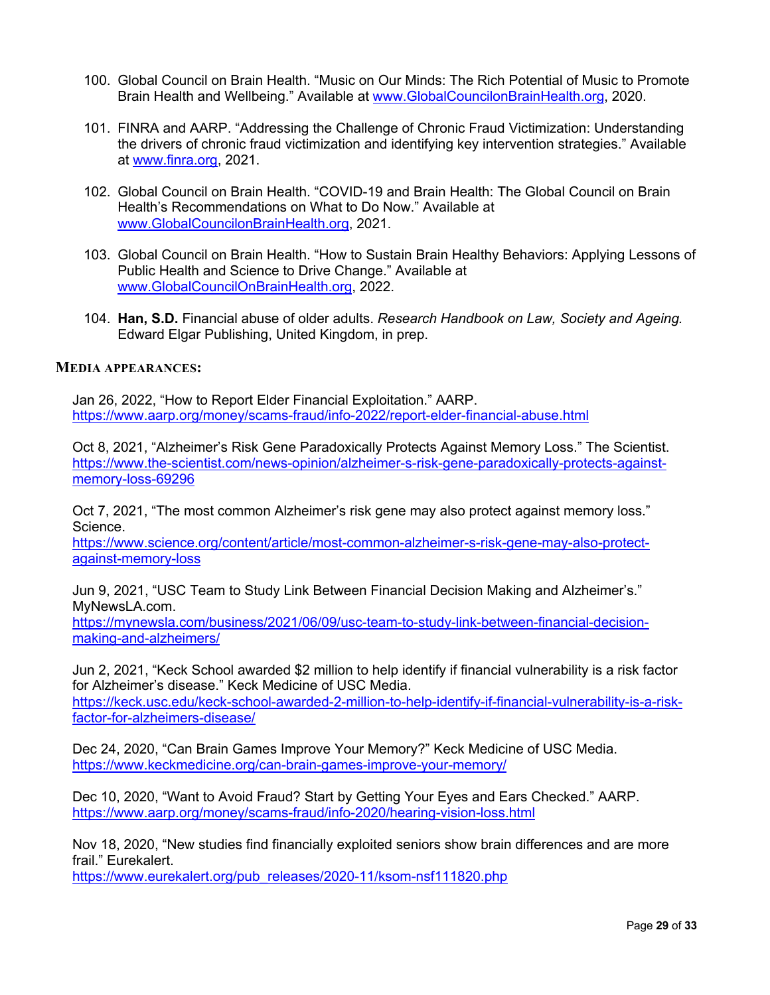- 100. Global Council on Brain Health. "Music on Our Minds: The Rich Potential of Music to Promote Brain Health and Wellbeing." Available at www.GlobalCouncilonBrainHealth.org, 2020.
- 101. FINRA and AARP. "Addressing the Challenge of Chronic Fraud Victimization: Understanding the drivers of chronic fraud victimization and identifying key intervention strategies." Available at www.finra.org, 2021.
- 102. Global Council on Brain Health. "COVID-19 and Brain Health: The Global Council on Brain Health's Recommendations on What to Do Now." Available at www.GlobalCouncilonBrainHealth.org, 2021.
- 103. Global Council on Brain Health. "How to Sustain Brain Healthy Behaviors: Applying Lessons of Public Health and Science to Drive Change." Available at www.GlobalCouncilOnBrainHealth.org, 2022.
- 104. **Han, S.D.** Financial abuse of older adults. *Research Handbook on Law, Society and Ageing.*  Edward Elgar Publishing, United Kingdom, in prep.

#### **MEDIA APPEARANCES:**

Jan 26, 2022, "How to Report Elder Financial Exploitation." AARP. https://www.aarp.org/money/scams-fraud/info-2022/report-elder-financial-abuse.html

Oct 8, 2021, "Alzheimer's Risk Gene Paradoxically Protects Against Memory Loss." The Scientist. https://www.the-scientist.com/news-opinion/alzheimer-s-risk-gene-paradoxically-protects-againstmemory-loss-69296

Oct 7, 2021, "The most common Alzheimer's risk gene may also protect against memory loss." Science.

https://www.science.org/content/article/most-common-alzheimer-s-risk-gene-may-also-protectagainst-memory-loss

Jun 9, 2021, "USC Team to Study Link Between Financial Decision Making and Alzheimer's." MyNewsLA.com.

https://mynewsla.com/business/2021/06/09/usc-team-to-study-link-between-financial-decisionmaking-and-alzheimers/

Jun 2, 2021, "Keck School awarded \$2 million to help identify if financial vulnerability is a risk factor for Alzheimer's disease." Keck Medicine of USC Media.

https://keck.usc.edu/keck-school-awarded-2-million-to-help-identify-if-financial-vulnerability-is-a-riskfactor-for-alzheimers-disease/

Dec 24, 2020, "Can Brain Games Improve Your Memory?" Keck Medicine of USC Media. https://www.keckmedicine.org/can-brain-games-improve-your-memory/

Dec 10, 2020, "Want to Avoid Fraud? Start by Getting Your Eyes and Ears Checked." AARP. https://www.aarp.org/money/scams-fraud/info-2020/hearing-vision-loss.html

Nov 18, 2020, "New studies find financially exploited seniors show brain differences and are more frail." Eurekalert.

https://www.eurekalert.org/pub\_releases/2020-11/ksom-nsf111820.php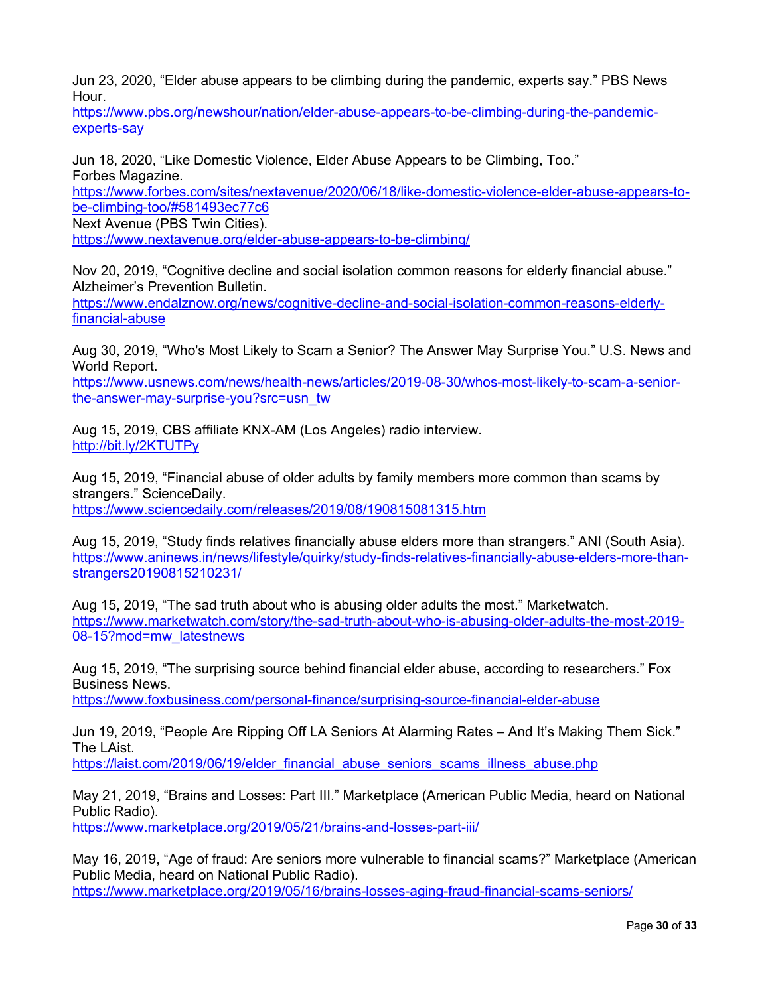Jun 23, 2020, "Elder abuse appears to be climbing during the pandemic, experts say." PBS News Hour.

https://www.pbs.org/newshour/nation/elder-abuse-appears-to-be-climbing-during-the-pandemicexperts-say

Jun 18, 2020, "Like Domestic Violence, Elder Abuse Appears to be Climbing, Too." Forbes Magazine.

https://www.forbes.com/sites/nextavenue/2020/06/18/like-domestic-violence-elder-abuse-appears-tobe-climbing-too/#581493ec77c6

Next Avenue (PBS Twin Cities).

https://www.nextavenue.org/elder-abuse-appears-to-be-climbing/

Nov 20, 2019, "Cognitive decline and social isolation common reasons for elderly financial abuse." Alzheimer's Prevention Bulletin.

https://www.endalznow.org/news/cognitive-decline-and-social-isolation-common-reasons-elderlyfinancial-abuse

Aug 30, 2019, "Who's Most Likely to Scam a Senior? The Answer May Surprise You." U.S. News and World Report.

https://www.usnews.com/news/health-news/articles/2019-08-30/whos-most-likely-to-scam-a-seniorthe-answer-may-surprise-you?src=usn\_tw

Aug 15, 2019, CBS affiliate KNX-AM (Los Angeles) radio interview. http://bit.ly/2KTUTPy

Aug 15, 2019, "Financial abuse of older adults by family members more common than scams by strangers." ScienceDaily. https://www.sciencedaily.com/releases/2019/08/190815081315.htm

Aug 15, 2019, "Study finds relatives financially abuse elders more than strangers." ANI (South Asia). https://www.aninews.in/news/lifestyle/quirky/study-finds-relatives-financially-abuse-elders-more-thanstrangers20190815210231/

Aug 15, 2019, "The sad truth about who is abusing older adults the most." Marketwatch. https://www.marketwatch.com/story/the-sad-truth-about-who-is-abusing-older-adults-the-most-2019- 08-15?mod=mw\_latestnews

Aug 15, 2019, "The surprising source behind financial elder abuse, according to researchers." Fox Business News.

https://www.foxbusiness.com/personal-finance/surprising-source-financial-elder-abuse

Jun 19, 2019, "People Are Ripping Off LA Seniors At Alarming Rates – And It's Making Them Sick." The LAist.

https://laist.com/2019/06/19/elder\_financial\_abuse\_seniors\_scams\_illness\_abuse.php

May 21, 2019, "Brains and Losses: Part III." Marketplace (American Public Media, heard on National Public Radio).

https://www.marketplace.org/2019/05/21/brains-and-losses-part-iii/

May 16, 2019, "Age of fraud: Are seniors more vulnerable to financial scams?" Marketplace (American Public Media, heard on National Public Radio).

https://www.marketplace.org/2019/05/16/brains-losses-aging-fraud-financial-scams-seniors/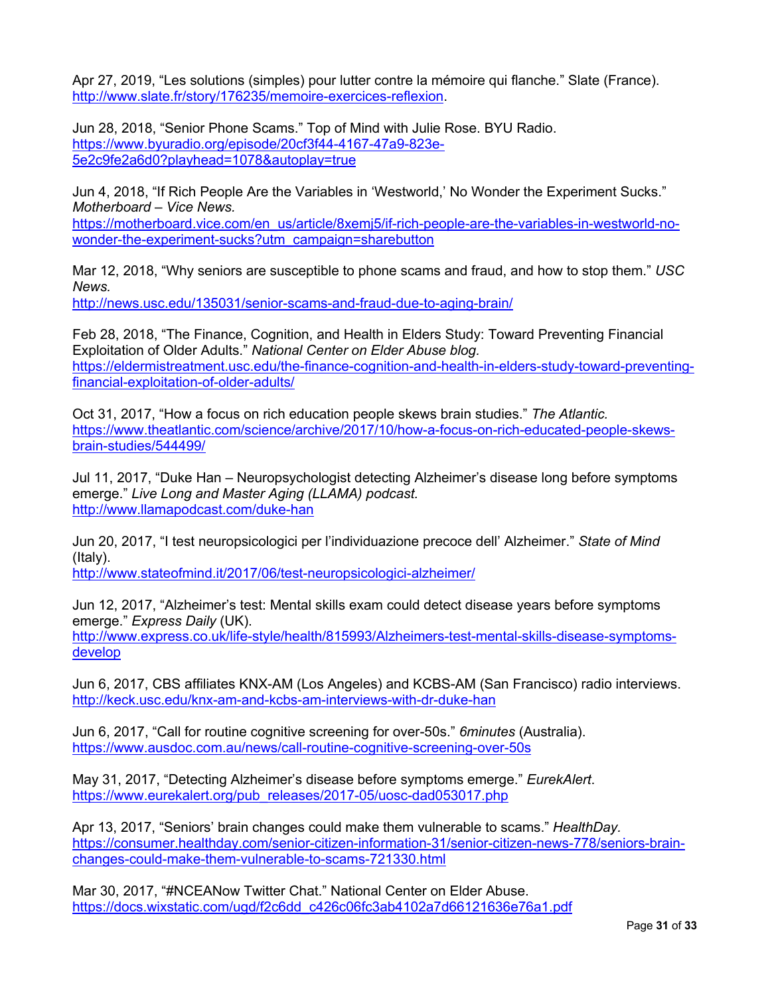Apr 27, 2019, "Les solutions (simples) pour lutter contre la mémoire qui flanche." Slate (France). http://www.slate.fr/story/176235/memoire-exercices-reflexion.

Jun 28, 2018, "Senior Phone Scams." Top of Mind with Julie Rose. BYU Radio. https://www.byuradio.org/episode/20cf3f44-4167-47a9-823e-5e2c9fe2a6d0?playhead=1078&autoplay=true

Jun 4, 2018, "If Rich People Are the Variables in 'Westworld,' No Wonder the Experiment Sucks." *Motherboard – Vice News.*

https://motherboard.vice.com/en\_us/article/8xemj5/if-rich-people-are-the-variables-in-westworld-nowonder-the-experiment-sucks?utm\_campaign=sharebutton

Mar 12, 2018, "Why seniors are susceptible to phone scams and fraud, and how to stop them." *USC News.*

http://news.usc.edu/135031/senior-scams-and-fraud-due-to-aging-brain/

Feb 28, 2018, "The Finance, Cognition, and Health in Elders Study: Toward Preventing Financial Exploitation of Older Adults." *National Center on Elder Abuse blog.* https://eldermistreatment.usc.edu/the-finance-cognition-and-health-in-elders-study-toward-preventingfinancial-exploitation-of-older-adults/

Oct 31, 2017, "How a focus on rich education people skews brain studies." *The Atlantic.* https://www.theatlantic.com/science/archive/2017/10/how-a-focus-on-rich-educated-people-skewsbrain-studies/544499/

Jul 11, 2017, "Duke Han – Neuropsychologist detecting Alzheimer's disease long before symptoms emerge." *Live Long and Master Aging (LLAMA) podcast.* http://www.llamapodcast.com/duke-han

Jun 20, 2017, "I test neuropsicologici per l'individuazione precoce dell' Alzheimer." *State of Mind* (Italy).

http://www.stateofmind.it/2017/06/test-neuropsicologici-alzheimer/

Jun 12, 2017, "Alzheimer's test: Mental skills exam could detect disease years before symptoms emerge." *Express Daily* (UK).

http://www.express.co.uk/life-style/health/815993/Alzheimers-test-mental-skills-disease-symptomsdevelop

Jun 6, 2017, CBS affiliates KNX-AM (Los Angeles) and KCBS-AM (San Francisco) radio interviews. http://keck.usc.edu/knx-am-and-kcbs-am-interviews-with-dr-duke-han

Jun 6, 2017, "Call for routine cognitive screening for over-50s." *6minutes* (Australia). https://www.ausdoc.com.au/news/call-routine-cognitive-screening-over-50s

May 31, 2017, "Detecting Alzheimer's disease before symptoms emerge." *EurekAlert*. https://www.eurekalert.org/pub\_releases/2017-05/uosc-dad053017.php

Apr 13, 2017, "Seniors' brain changes could make them vulnerable to scams." *HealthDay.* https://consumer.healthday.com/senior-citizen-information-31/senior-citizen-news-778/seniors-brainchanges-could-make-them-vulnerable-to-scams-721330.html

Mar 30, 2017, "#NCEANow Twitter Chat." National Center on Elder Abuse. https://docs.wixstatic.com/ugd/f2c6dd\_c426c06fc3ab4102a7d66121636e76a1.pdf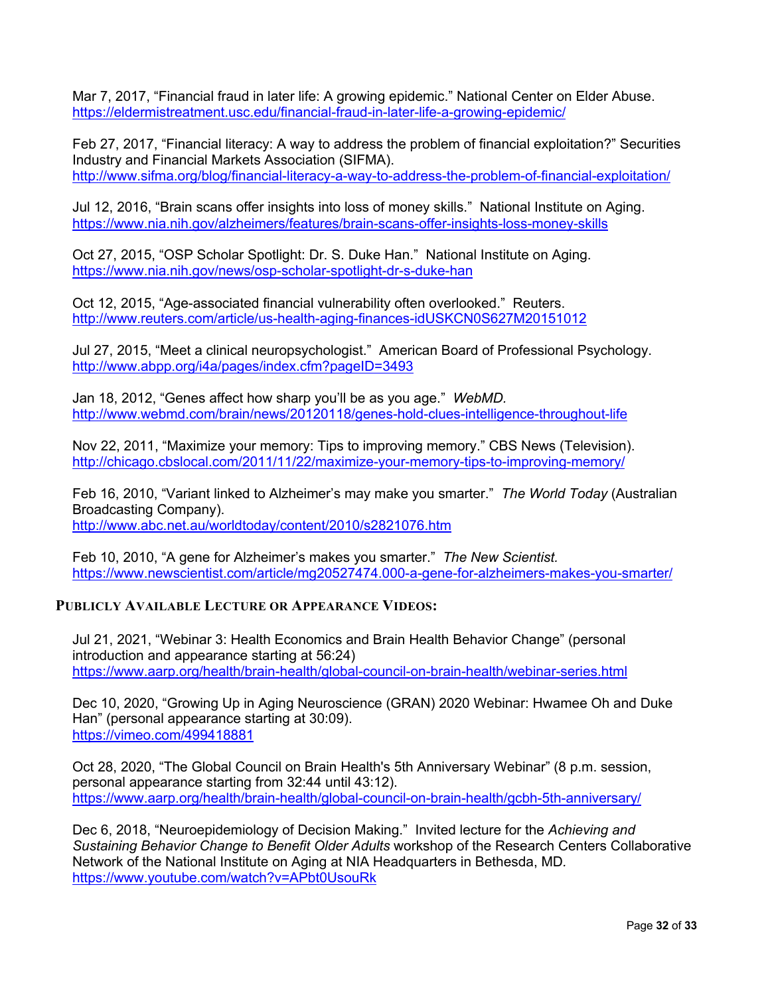Mar 7, 2017, "Financial fraud in later life: A growing epidemic." National Center on Elder Abuse. https://eldermistreatment.usc.edu/financial-fraud-in-later-life-a-growing-epidemic/

Feb 27, 2017, "Financial literacy: A way to address the problem of financial exploitation?" Securities Industry and Financial Markets Association (SIFMA). http://www.sifma.org/blog/financial-literacy-a-way-to-address-the-problem-of-financial-exploitation/

Jul 12, 2016, "Brain scans offer insights into loss of money skills." National Institute on Aging. https://www.nia.nih.gov/alzheimers/features/brain-scans-offer-insights-loss-money-skills

Oct 27, 2015, "OSP Scholar Spotlight: Dr. S. Duke Han." National Institute on Aging. https://www.nia.nih.gov/news/osp-scholar-spotlight-dr-s-duke-han

Oct 12, 2015, "Age-associated financial vulnerability often overlooked." Reuters. http://www.reuters.com/article/us-health-aging-finances-idUSKCN0S627M20151012

Jul 27, 2015, "Meet a clinical neuropsychologist." American Board of Professional Psychology. http://www.abpp.org/i4a/pages/index.cfm?pageID=3493

Jan 18, 2012, "Genes affect how sharp you'll be as you age." *WebMD.* http://www.webmd.com/brain/news/20120118/genes-hold-clues-intelligence-throughout-life

Nov 22, 2011, "Maximize your memory: Tips to improving memory." CBS News (Television). http://chicago.cbslocal.com/2011/11/22/maximize-your-memory-tips-to-improving-memory/

Feb 16, 2010, "Variant linked to Alzheimer's may make you smarter." *The World Today* (Australian Broadcasting Company).

http://www.abc.net.au/worldtoday/content/2010/s2821076.htm

Feb 10, 2010, "A gene for Alzheimer's makes you smarter." *The New Scientist.* https://www.newscientist.com/article/mg20527474.000-a-gene-for-alzheimers-makes-you-smarter/

#### **PUBLICLY AVAILABLE LECTURE OR APPEARANCE VIDEOS:**

Jul 21, 2021, "Webinar 3: Health Economics and Brain Health Behavior Change" (personal introduction and appearance starting at 56:24) https://www.aarp.org/health/brain-health/global-council-on-brain-health/webinar-series.html

Dec 10, 2020, "Growing Up in Aging Neuroscience (GRAN) 2020 Webinar: Hwamee Oh and Duke Han" (personal appearance starting at 30:09). https://vimeo.com/499418881

Oct 28, 2020, "The Global Council on Brain Health's 5th Anniversary Webinar" (8 p.m. session, personal appearance starting from 32:44 until 43:12). https://www.aarp.org/health/brain-health/global-council-on-brain-health/gcbh-5th-anniversary/

Dec 6, 2018, "Neuroepidemiology of Decision Making." Invited lecture for the *Achieving and Sustaining Behavior Change to Benefit Older Adults* workshop of the Research Centers Collaborative Network of the National Institute on Aging at NIA Headquarters in Bethesda, MD*.* https://www.youtube.com/watch?v=APbt0UsouRk